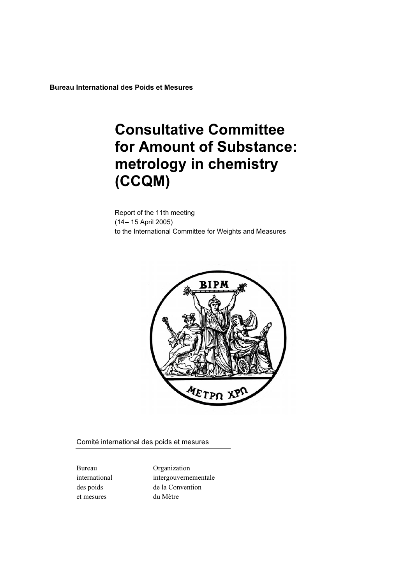Bureau International des Poids et Mesures

# **Consultative Committee<br>for Amount of Substance:** metrology in chemistry metrology in chemistry  $\sqrt{2}$

Report of the 11th meeting (14– 15 April 2005) to the International Committee for Weights and Measures



Comité international des poids et mesures

et mesures du Mètre

Bureau Organization international intergouvernementale des poids de la Convention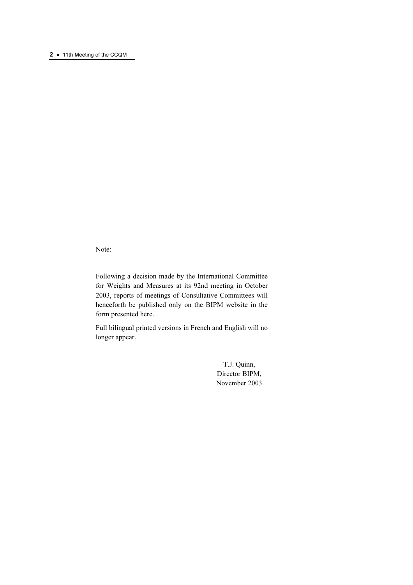#### 2 • 11th Meeting of the CCQM

#### Note:

Following a decision made by the International Committee for Weights and Measures at its 92nd meeting in October 2003, reports of meetings of Consultative Committees will henceforth be published only on the BIPM website in the form presented here.

Full bilingual printed versions in French and English will no longer appear.

> T.J. Quinn, Director BIPM, November 2003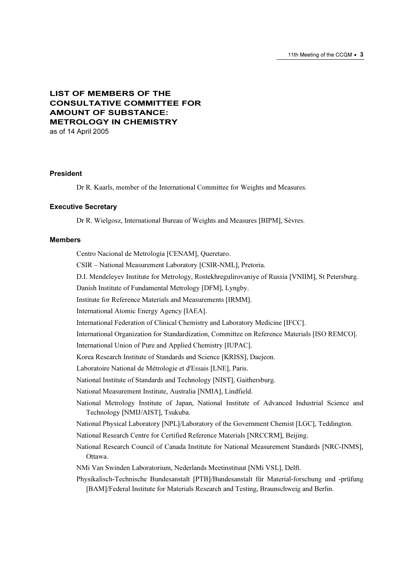# LIST OF MEMBERS OF THE CONSULTATIVE COMMITTEE FOR AMOUNT OF SUBSTANCE: METROLOGY IN CHEMISTRY

as of 14 April 2005

#### President

Dr R. Kaarls, member of the International Committee for Weights and Measures.

#### Executive Secretary

Dr R. Wielgosz, International Bureau of Weights and Measures [BIPM], Sèvres.

#### Members

Centro Nacional de Metrología [CENAM], Queretaro. CSIR – National Measurement Laboratory [CSIR-NML], Pretoria. D.I. Mendeleyev Institute for Metrology, Rostekhregulirovaniye of Russia [VNIIM], St Petersburg. Danish Institute of Fundamental Metrology [DFM], Lyngby. Institute for Reference Materials and Measurements [IRMM]. International Atomic Energy Agency [IAEA]. International Federation of Clinical Chemistry and Laboratory Medicine [IFCC]. International Organization for Standardization, Committee on Reference Materials [ISO REMCO]. International Union of Pure and Applied Chemistry [IUPAC]. Korea Research Institute of Standards and Science [KRISS], Daejeon. Laboratoire National de Métrologie et d'Essais [LNE], Paris. National Institute of Standards and Technology [NIST], Gaithersburg. National Measurement Institute, Australia [NMIA], Lindfield. National Metrology Institute of Japan, National Institute of Advanced Industrial Science and Technology [NMIJ/AIST], Tsukuba. National Physical Laboratory [NPL]/Laboratory of the Government Chemist [LGC], Teddington. National Research Centre for Certified Reference Materials [NRCCRM], Beijing. National Research Council of Canada Institute for National Measurement Standards [NRC-INMS], Ottawa. NMi Van Swinden Laboratorium, Nederlands Meetinstituut [NMi VSL], Delft. Physikalisch-Technische Bundesanstalt [PTB]/Bundesanstalt für Material-forschung und -prüfung [BAM]/Federal Institute for Materials Research and Testing, Braunschweig and Berlin.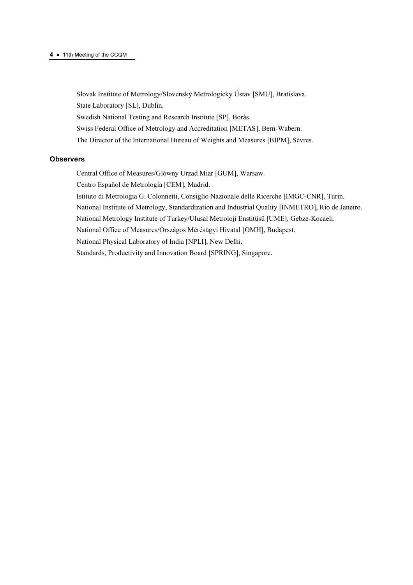#### <sup>4</sup>· 11th Meeting of the CCQM

Slovak Institute of Metrology/Slovenský Metrologický Ústav [SMU], Bratislava. State Laboratory [SL], Dublin. Swedish National Testing and Research Institute [SP], Borås. Swiss Federal Office of Metrology and Accreditation [METAS], Bern-Wabern. The Director of the International Bureau of Weights and Measures [BIPM], Sèvres.

#### **Observers**

Central Office of Measures/Glόwny Urzad Miar [GUM], Warsaw.

Centro Español de Metrología [CEM], Madrid.

Istituto di Metrologia G. Colonnetti, Consiglio Nazionale delle Ricerche [IMGC-CNR], Turin.

National Institute of Metrology, Standardization and Industrial Quality [INMETRO], Rio de Janeiro.

National Metrology Institute of Turkey/Ulusal Metroloji Enstitüsü [UME], Gebze-Kocaeli.

National Office of Measures/Országos Mérésügyi Hivatal [OMH], Budapest.

National Physical Laboratory of India [NPLI], New Delhi.

Standards, Productivity and Innovation Board [SPRING], Singapore.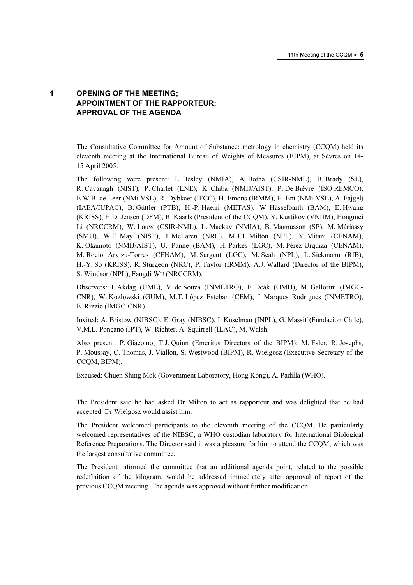# 1 OPENING OF THE MEETING; APPOINTMENT OF THE RAPPORTEUR; APPROVAL OF THE AGENDA

The Consultative Committee for Amount of Substance: metrology in chemistry (CCQM) held its eleventh meeting at the International Bureau of Weights of Measures (BIPM), at Sèvres on 14- 15 April 2005.

The following were present: L. Besley (NMIA), A. Botha (CSIR-NML), B. Brady (SL), R. Cavanagh (NIST), P. Charlet (LNE), K. Chiba (NMIJ/AIST), P. De Bièvre (ISO REMCO), E.W.B. de Leer (NMi VSL), R. Dybkaer (IFCC), H. Emons (IRMM), H. Ent (NMi-VSL), A. Fajgelj (IAEA/IUPAC), B. Güttler (PTB), H.-P. Haerri (METAS), W. Hässelbarth (BAM), E. Hwang (KRISS), H.D. Jensen (DFM), R. Kaarls (President of the CCQM), Y. Kustikov (VNIIM), Hongmei Li (NRCCRM), W. Louw (CSIR-NML), L. Mackay (NMIA), B. Magnusson (SP), M. Máriássy (SMU), W.E. May (NIST), J. McLaren (NRC), M.J.T. Milton (NPL), Y. Mitani (CENAM), K. Okamoto (NMIJ/AIST), U. Panne (BAM), H. Parkes (LGC), M. Pérez-Urquiza (CENAM), M. Rocio Arvizu-Torres (CENAM), M. Sargent (LGC), M. Seah (NPL), L. Siekmann (RfB), H.-Y. So (KRISS), R. Sturgeon (NRC), P. Taylor (IRMM), A.J. Wallard (Director of the BIPM), S. Windsor (NPL), Fangdi W*U* (NRCCRM).

Observers: I. Akdag (UME), V. de Souza (INMETRO), E. Deák (OMH), M. Gallorini (IMGC-CNR), W. Kozlowski (GUM), M.T. López Esteban (CEM), J. Marques Rodrigues (INMETRO), E. Rizzio (IMGC-CNR).

Invited: A. Bristow (NIBSC), E. Gray (NIBSC), I. Kuselman (INPL), G. Massif (Fundacion Chile), V.M.L. Ponçano (IPT), W. Richter, A. Squirrell (ILAC), M. Walsh.

Also present: P. Giacomo, T.J. Quinn (Emeritus Directors of the BIPM); M. Esler, R. Josephs, P. Moussay, C. Thomas, J. Viallon, S. Westwood (BIPM), R. Wielgosz (Executive Secretary of the CCQM, BIPM).

Excused: Chuen Shing Mok (Government Laboratory, Hong Kong), A. Padilla (WHO).

The President said he had asked Dr Milton to act as rapporteur and was delighted that he had accepted. Dr Wielgosz would assist him.

The President welcomed participants to the eleventh meeting of the CCQM. He particularly welcomed representatives of the NIBSC, a WHO custodian laboratory for International Biological Reference Preparations. The Director said it was a pleasure for him to attend the CCQM, which was the largest consultative committee.

The President informed the committee that an additional agenda point, related to the possible redefinition of the kilogram, would be addressed immediately after approval of report of the previous CCQM meeting. The agenda was approved without further modification.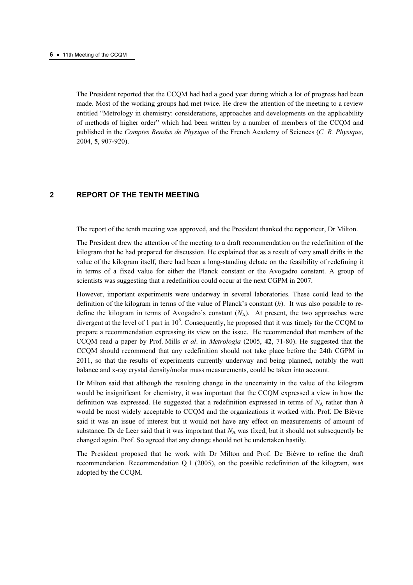The President reported that the CCQM had had a good year during which a lot of progress had been made. Most of the working groups had met twice. He drew the attention of the meeting to a review entitled "Metrology in chemistry: considerations, approaches and developments on the applicability of methods of higher order" which had been written by a number of members of the CCQM and published in the Comptes Rendus de Physique of the French Academy of Sciences (C. R. Physique, 2004, 5, 907-920).

# 2 REPORT OF THE TENTH MEETING

The report of the tenth meeting was approved, and the President thanked the rapporteur, Dr Milton.

The President drew the attention of the meeting to a draft recommendation on the redefinition of the kilogram that he had prepared for discussion. He explained that as a result of very small drifts in the value of the kilogram itself, there had been a long-standing debate on the feasibility of redefining it in terms of a fixed value for either the Planck constant or the Avogadro constant. A group of scientists was suggesting that a redefinition could occur at the next CGPM in 2007.

However, important experiments were underway in several laboratories. These could lead to the definition of the kilogram in terms of the value of Planck's constant  $(h)$ . It was also possible to redefine the kilogram in terms of Avogadro's constant  $(N_A)$ . At present, the two approaches were divergent at the level of 1 part in 10<sup>6</sup>. Consequently, he proposed that it was timely for the CCQM to prepare a recommendation expressing its view on the issue. He recommended that members of the CCQM read a paper by Prof. Mills et al. in Metrologia (2005, 42, 71-80). He suggested that the CCQM should recommend that any redefinition should not take place before the 24th CGPM in 2011, so that the results of experiments currently underway and being planned, notably the watt balance and x-ray crystal density/molar mass measurements, could be taken into account.

Dr Milton said that although the resulting change in the uncertainty in the value of the kilogram would be insignificant for chemistry, it was important that the CCQM expressed a view in how the definition was expressed. He suggested that a redefinition expressed in terms of  $N_A$  rather than h would be most widely acceptable to CCQM and the organizations it worked with. Prof. De Bièvre said it was an issue of interest but it would not have any effect on measurements of amount of substance. Dr de Leer said that it was important that  $N_A$  was fixed, but it should not subsequently be changed again. Prof. So agreed that any change should not be undertaken hastily.

The President proposed that he work with Dr Milton and Prof. De Bièvre to refine the draft recommendation. Recommendation Q 1 (2005), on the possible redefinition of the kilogram, was adopted by the CCQM.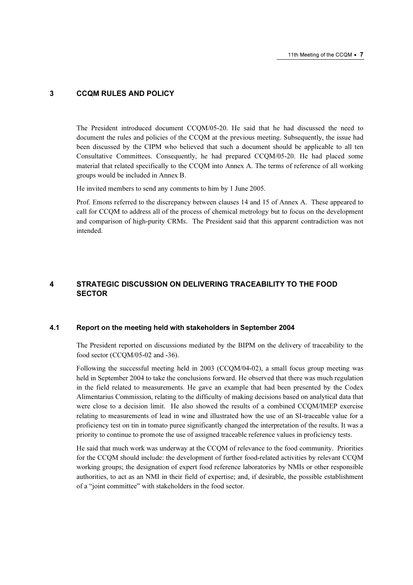#### 3 CCQM RULES AND POLICY

The President introduced document CCQM/05-20. He said that he had discussed the need to document the rules and policies of the CCQM at the previous meeting. Subsequently, the issue had been discussed by the CIPM who believed that such a document should be applicable to all ten Consultative Committees. Consequently, he had prepared CCQM/05-20. He had placed some material that related specifically to the CCQM into Annex A. The terms of reference of all working groups would be included in Annex B.

He invited members to send any comments to him by 1 June 2005.

Prof. Emons referred to the discrepancy between clauses 14 and 15 of Annex A. These appeared to call for CCQM to address all of the process of chemical metrology but to focus on the development and comparison of high-purity CRMs. The President said that this apparent contradiction was not intended.

# 4 STRATEGIC DISCUSSION ON DELIVERING TRACEABILITY TO THE FOOD **SECTOR**

#### 4.1 Report on the meeting held with stakeholders in September 2004

The President reported on discussions mediated by the BIPM on the delivery of traceability to the food sector (CCQM/05-02 and -36).

Following the successful meeting held in 2003 (CCQM/04-02), a small focus group meeting was held in September 2004 to take the conclusions forward. He observed that there was much regulation in the field related to measurements. He gave an example that had been presented by the Codex Alimentarius Commission, relating to the difficulty of making decisions based on analytical data that were close to a decision limit. He also showed the results of a combined CCQM/IMEP exercise relating to measurements of lead in wine and illustrated how the use of an SI-traceable value for a proficiency test on tin in tomato puree significantly changed the interpretation of the results. It was a priority to continue to promote the use of assigned traceable reference values in proficiency tests.

He said that much work was underway at the CCQM of relevance to the food community. Priorities for the CCQM should include: the development of further food-related activities by relevant CCQM working groups; the designation of expert food reference laboratories by NMIs or other responsible authorities, to act as an NMI in their field of expertise; and, if desirable, the possible establishment of a "joint committee" with stakeholders in the food sector.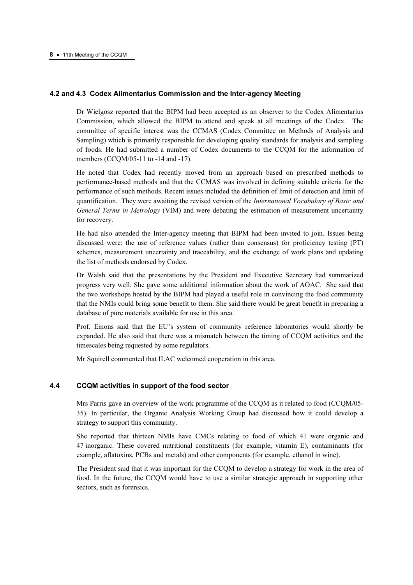#### 4.2 and 4.3 Codex Alimentarius Commission and the Inter-agency Meeting

Dr Wielgosz reported that the BIPM had been accepted as an observer to the Codex Alimentarius Commission, which allowed the BIPM to attend and speak at all meetings of the Codex. The committee of specific interest was the CCMAS (Codex Committee on Methods of Analysis and Sampling) which is primarily responsible for developing quality standards for analysis and sampling of foods. He had submitted a number of Codex documents to the CCQM for the information of members (CCQM/05-11 to -14 and -17).

He noted that Codex had recently moved from an approach based on prescribed methods to performance-based methods and that the CCMAS was involved in defining suitable criteria for the performance of such methods. Recent issues included the definition of limit of detection and limit of quantification. They were awaiting the revised version of the International Vocabulary of Basic and General Terms in Metrology (VIM) and were debating the estimation of measurement uncertainty for recovery.

He had also attended the Inter-agency meeting that BIPM had been invited to join. Issues being discussed were: the use of reference values (rather than consensus) for proficiency testing (PT) schemes, measurement uncertainty and traceability, and the exchange of work plans and updating the list of methods endorsed by Codex.

Dr Walsh said that the presentations by the President and Executive Secretary had summarized progress very well. She gave some additional information about the work of AOAC. She said that the two workshops hosted by the BIPM had played a useful role in convincing the food community that the NMIs could bring some benefit to them. She said there would be great benefit in preparing a database of pure materials available for use in this area.

Prof. Emons said that the EU's system of community reference laboratories would shortly be expanded. He also said that there was a mismatch between the timing of CCQM activities and the timescales being requested by some regulators.

Mr Squirell commented that ILAC welcomed cooperation in this area.

## 4.4 CCQM activities in support of the food sector

Mrs Parris gave an overview of the work programme of the CCQM as it related to food (CCQM/05- 35). In particular, the Organic Analysis Working Group had discussed how it could develop a strategy to support this community.

She reported that thirteen NMIs have CMCs relating to food of which 41 were organic and 47 inorganic. These covered nutritional constituents (for example, vitamin E), contaminants (for example, aflatoxins, PCBs and metals) and other components (for example, ethanol in wine).

The President said that it was important for the CCQM to develop a strategy for work in the area of food. In the future, the CCQM would have to use a similar strategic approach in supporting other sectors, such as forensics.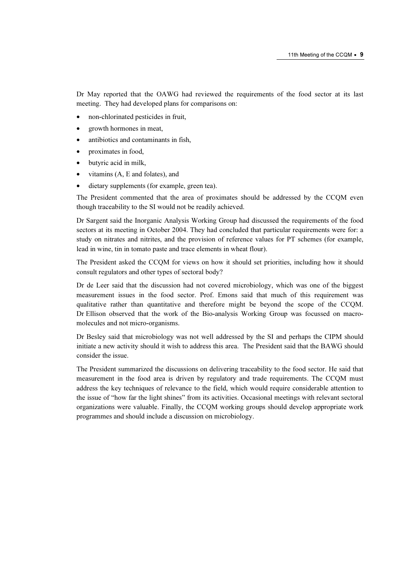Dr May reported that the OAWG had reviewed the requirements of the food sector at its last meeting. They had developed plans for comparisons on:

- non-chlorinated pesticides in fruit,
- growth hormones in meat,
- antibiotics and contaminants in fish,
- proximates in food,
- butyric acid in milk,
- vitamins (A, E and folates), and
- dietary supplements (for example, green tea).

The President commented that the area of proximates should be addressed by the CCQM even though traceability to the SI would not be readily achieved.

Dr Sargent said the Inorganic Analysis Working Group had discussed the requirements of the food sectors at its meeting in October 2004. They had concluded that particular requirements were for: a study on nitrates and nitrites, and the provision of reference values for PT schemes (for example, lead in wine, tin in tomato paste and trace elements in wheat flour).

The President asked the CCQM for views on how it should set priorities, including how it should consult regulators and other types of sectoral body?

Dr de Leer said that the discussion had not covered microbiology, which was one of the biggest measurement issues in the food sector. Prof. Emons said that much of this requirement was qualitative rather than quantitative and therefore might be beyond the scope of the CCQM. Dr Ellison observed that the work of the Bio-analysis Working Group was focussed on macromolecules and not micro-organisms.

Dr Besley said that microbiology was not well addressed by the SI and perhaps the CIPM should initiate a new activity should it wish to address this area. The President said that the BAWG should consider the issue.

The President summarized the discussions on delivering traceability to the food sector. He said that measurement in the food area is driven by regulatory and trade requirements. The CCQM must address the key techniques of relevance to the field, which would require considerable attention to the issue of "how far the light shines" from its activities. Occasional meetings with relevant sectoral organizations were valuable. Finally, the CCQM working groups should develop appropriate work programmes and should include a discussion on microbiology.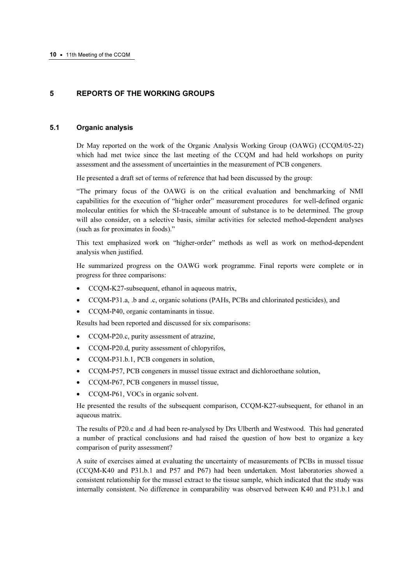# 5 REPORTS OF THE WORKING GROUPS

## 5.1 Organic analysis

Dr May reported on the work of the Organic Analysis Working Group (OAWG) (CCQM/05-22) which had met twice since the last meeting of the CCQM and had held workshops on purity assessment and the assessment of uncertainties in the measurement of PCB congeners.

He presented a draft set of terms of reference that had been discussed by the group:

"The primary focus of the OAWG is on the critical evaluation and benchmarking of NMI capabilities for the execution of "higher order" measurement procedures for well-defined organic molecular entities for which the SI-traceable amount of substance is to be determined. The group will also consider, on a selective basis, similar activities for selected method-dependent analyses (such as for proximates in foods)."

This text emphasized work on "higher-order" methods as well as work on method-dependent analysis when justified.

He summarized progress on the OAWG work programme. Final reports were complete or in progress for three comparisons:

- CCOM-K27-subsequent, ethanol in aqueous matrix,
- CCQM-P31.a, .b and .c, organic solutions (PAHs, PCBs and chlorinated pesticides), and
- CCQM-P40, organic contaminants in tissue.

Results had been reported and discussed for six comparisons:

- CCQM-P20.c, purity assessment of atrazine,
- CCQM-P20.d, purity assessment of chlopyrifos,
- CCQM-P31.b.1, PCB congeners in solution,
- CCQM-P57, PCB congeners in mussel tissue extract and dichloroethane solution,
- CCQM-P67, PCB congeners in mussel tissue,
- CCQM-P61, VOCs in organic solvent.

He presented the results of the subsequent comparison, CCQM-K27-subsequent, for ethanol in an aqueous matrix.

The results of P20.c and .d had been re-analysed by Drs Ulberth and Westwood. This had generated a number of practical conclusions and had raised the question of how best to organize a key comparison of purity assessment?

A suite of exercises aimed at evaluating the uncertainty of measurements of PCBs in mussel tissue (CCQM-K40 and P31.b.1 and P57 and P67) had been undertaken. Most laboratories showed a consistent relationship for the mussel extract to the tissue sample, which indicated that the study was internally consistent. No difference in comparability was observed between K40 and P31.b.1 and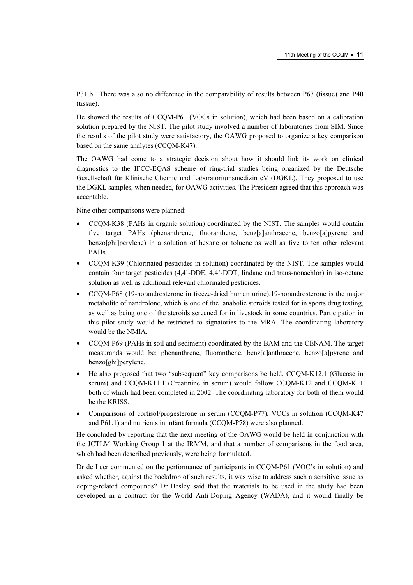P31.b. There was also no difference in the comparability of results between P67 (tissue) and P40 (tissue).

He showed the results of CCQM-P61 (VOCs in solution), which had been based on a calibration solution prepared by the NIST. The pilot study involved a number of laboratories from SIM. Since the results of the pilot study were satisfactory, the OAWG proposed to organize a key comparison based on the same analytes (CCQM-K47).

The OAWG had come to a strategic decision about how it should link its work on clinical diagnostics to the IFCC-EQAS scheme of ring-trial studies being organized by the Deutsche Gesellschaft für Klinische Chemie und Laboratoriumsmedizin eV (DGKL). They proposed to use the DGKL samples, when needed, for OAWG activities. The President agreed that this approach was acceptable.

Nine other comparisons were planned:

- CCQM-K38 (PAHs in organic solution) coordinated by the NIST. The samples would contain five target PAHs (phenanthrene, fluoranthene, benz[a]anthracene, benzo[a]pyrene and benzo[ghi]perylene) in a solution of hexane or toluene as well as five to ten other relevant PAHs.
- CCQM-K39 (Chlorinated pesticides in solution) coordinated by the NIST. The samples would contain four target pesticides (4,4'-DDE, 4,4'-DDT, lindane and trans-nonachlor) in iso-octane solution as well as additional relevant chlorinated pesticides.
- CCQM-P68 (19-norandrosterone in freeze-dried human urine).19-norandrosterone is the major metabolite of nandrolone, which is one of the anabolic steroids tested for in sports drug testing, as well as being one of the steroids screened for in livestock in some countries. Participation in this pilot study would be restricted to signatories to the MRA. The coordinating laboratory would be the NMIA.
- CCQM-P69 (PAHs in soil and sediment) coordinated by the BAM and the CENAM. The target measurands would be: phenanthrene, fluoranthene, benz[a]anthracene, benzo[a]pyrene and benzo[ghi]perylene.
- He also proposed that two "subsequent" key comparisons be held. CCQM-K12.1 (Glucose in serum) and CCQM-K11.1 (Creatinine in serum) would follow CCQM-K12 and CCQM-K11 both of which had been completed in 2002. The coordinating laboratory for both of them would be the KRISS.
- Comparisons of cortisol/progesterone in serum (CCQM-P77), VOCs in solution (CCQM-K47 and P61.1) and nutrients in infant formula (CCQM-P78) were also planned.

He concluded by reporting that the next meeting of the OAWG would be held in conjunction with the JCTLM Working Group 1 at the IRMM, and that a number of comparisons in the food area, which had been described previously, were being formulated.

Dr de Leer commented on the performance of participants in CCQM-P61 (VOC's in solution) and asked whether, against the backdrop of such results, it was wise to address such a sensitive issue as doping-related compounds? Dr Besley said that the materials to be used in the study had been developed in a contract for the World Anti-Doping Agency (WADA), and it would finally be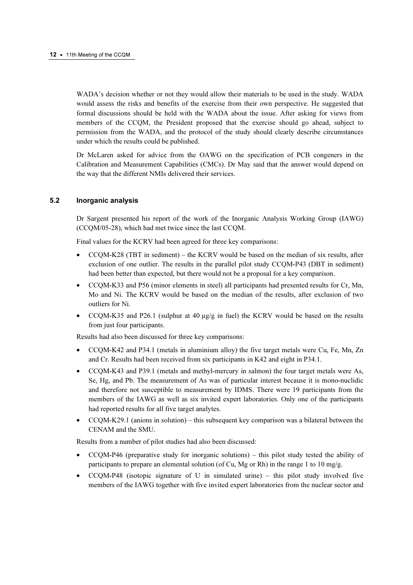WADA's decision whether or not they would allow their materials to be used in the study. WADA would assess the risks and benefits of the exercise from their own perspective. He suggested that formal discussions should be held with the WADA about the issue. After asking for views from members of the CCQM, the President proposed that the exercise should go ahead, subject to permission from the WADA, and the protocol of the study should clearly describe circumstances under which the results could be published.

Dr McLaren asked for advice from the OAWG on the specification of PCB congeners in the Calibration and Measurement Capabilities (CMCs). Dr May said that the answer would depend on the way that the different NMIs delivered their services.

#### 5.2 Inorganic analysis

Dr Sargent presented his report of the work of the Inorganic Analysis Working Group (IAWG) (CCQM/05-28), which had met twice since the last CCQM.

Final values for the KCRV had been agreed for three key comparisons:

- CCQM-K28 (TBT in sediment) the KCRV would be based on the median of six results, after exclusion of one outlier. The results in the parallel pilot study CCQM-P43 (DBT in sediment) had been better than expected, but there would not be a proposal for a key comparison.
- CCQM-K33 and P56 (minor elements in steel) all participants had presented results for Cr, Mn, Mo and Ni. The KCRV would be based on the median of the results, after exclusion of two outliers for Ni.
- CCQM-K35 and P26.1 (sulphur at 40  $\mu$ g/g in fuel) the KCRV would be based on the results from just four participants.

Results had also been discussed for three key comparisons:

- CCQM-K42 and P34.1 (metals in aluminium alloy) the five target metals were Cu, Fe, Mn, Zn and Cr. Results had been received from six participants in K42 and eight in P34.1.
- CCQM-K43 and P39.1 (metals and methyl-mercury in salmon) the four target metals were As, Se, Hg, and Pb. The measurement of As was of particular interest because it is mono-nuclidic and therefore not susceptible to measurement by IDMS. There were 19 participants from the members of the IAWG as well as six invited expert laboratories. Only one of the participants had reported results for all five target analytes.
- $CCQM-K29.1$  (anions in solution) this subsequent key comparison was a bilateral between the CENAM and the SMU.

Results from a number of pilot studies had also been discussed:

- $CCOM-P46$  (preparative study for inorganic solutions) this pilot study tested the ability of participants to prepare an elemental solution (of Cu, Mg or Rh) in the range 1 to 10 mg/g.
- $CCQM-P48$  (isotopic signature of U in simulated urine) this pilot study involved five members of the IAWG together with five invited expert laboratories from the nuclear sector and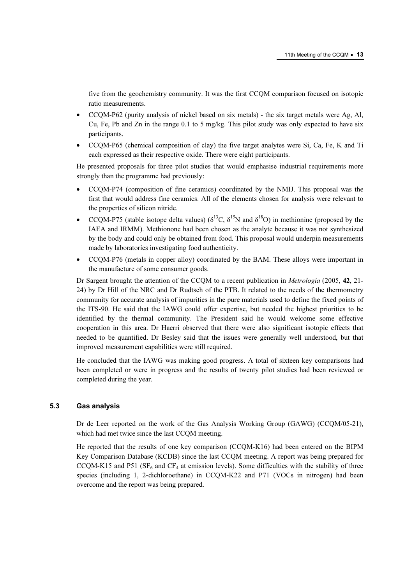five from the geochemistry community. It was the first CCQM comparison focused on isotopic ratio measurements.

- CCOM-P62 (purity analysis of nickel based on six metals) the six target metals were Ag, Al, Cu, Fe, Pb and Zn in the range  $0.1$  to 5 mg/kg. This pilot study was only expected to have six participants.
- CCQM-P65 (chemical composition of clay) the five target analytes were Si, Ca, Fe, K and Ti each expressed as their respective oxide. There were eight participants.

He presented proposals for three pilot studies that would emphasise industrial requirements more strongly than the programme had previously:

- CCQM-P74 (composition of fine ceramics) coordinated by the NMIJ. This proposal was the first that would address fine ceramics. All of the elements chosen for analysis were relevant to the properties of silicon nitride.
- CCOM-P75 (stable isotope delta values) ( $\delta^{13}$ C,  $\delta^{15}$ N and  $\delta^{18}$ O) in methionine (proposed by the IAEA and IRMM). Methionone had been chosen as the analyte because it was not synthesized by the body and could only be obtained from food. This proposal would underpin measurements made by laboratories investigating food authenticity.
- CCQM-P76 (metals in copper alloy) coordinated by the BAM. These alloys were important in the manufacture of some consumer goods.

Dr Sargent brought the attention of the CCOM to a recent publication in *Metrologia* (2005, 42, 21-24) by Dr Hill of the NRC and Dr Rudtsch of the PTB. It related to the needs of the thermometry community for accurate analysis of impurities in the pure materials used to define the fixed points of the ITS-90. He said that the IAWG could offer expertise, but needed the highest priorities to be identified by the thermal community. The President said he would welcome some effective cooperation in this area. Dr Haerri observed that there were also significant isotopic effects that needed to be quantified. Dr Besley said that the issues were generally well understood, but that improved measurement capabilities were still required.

He concluded that the IAWG was making good progress. A total of sixteen key comparisons had been completed or were in progress and the results of twenty pilot studies had been reviewed or completed during the year.

# 5.3 Gas analysis

Dr de Leer reported on the work of the Gas Analysis Working Group (GAWG) (CCQM/05-21), which had met twice since the last CCOM meeting.

He reported that the results of one key comparison (CCQM-K16) had been entered on the BIPM Key Comparison Database (KCDB) since the last CCQM meeting. A report was being prepared for CCQM-K15 and P51 ( $SF_6$  and  $CF_4$  at emission levels). Some difficulties with the stability of three species (including 1, 2-dichloroethane) in CCQM-K22 and P71 (VOCs in nitrogen) had been overcome and the report was being prepared.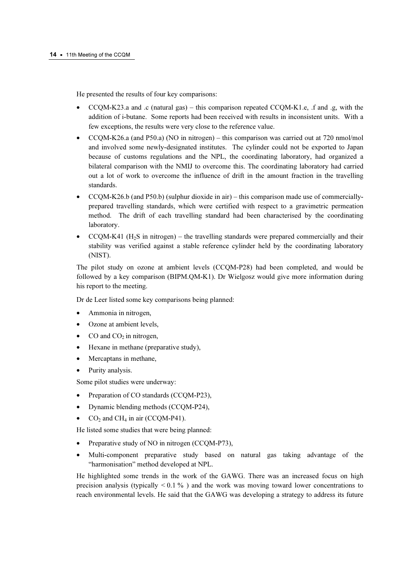He presented the results of four key comparisons:

- CCQM-K23.a and .c (natural gas) this comparison repeated CCQM-K1.e, .f and .g, with the addition of i-butane. Some reports had been received with results in inconsistent units. With a few exceptions, the results were very close to the reference value.
- CCQM-K26.a (and P50.a) (NO in nitrogen) this comparison was carried out at 720 nmol/mol and involved some newly-designated institutes. The cylinder could not be exported to Japan because of customs regulations and the NPL, the coordinating laboratory, had organized a bilateral comparison with the NMIJ to overcome this. The coordinating laboratory had carried out a lot of work to overcome the influence of drift in the amount fraction in the travelling standards.
- CCQM-K26.b (and P50.b) (sulphur dioxide in air) this comparison made use of commerciallyprepared travelling standards, which were certified with respect to a gravimetric permeation method. The drift of each travelling standard had been characterised by the coordinating laboratory.
- $CCQM-K41$  ( $H<sub>2</sub>S$  in nitrogen) the travelling standards were prepared commercially and their stability was verified against a stable reference cylinder held by the coordinating laboratory (NIST).

The pilot study on ozone at ambient levels (CCQM-P28) had been completed, and would be followed by a key comparison (BIPM.QM-K1). Dr Wielgosz would give more information during his report to the meeting.

Dr de Leer listed some key comparisons being planned:

- Ammonia in nitrogen,
- Ozone at ambient levels,
- CO and  $CO<sub>2</sub>$  in nitrogen,
- Hexane in methane (preparative study),
- Mercaptans in methane,
- Purity analysis.

Some pilot studies were underway:

- Preparation of CO standards (CCQM-P23),
- Dynamic blending methods (CCQM-P24),
- $CO<sub>2</sub>$  and CH<sub>4</sub> in air (CCQM-P41).

He listed some studies that were being planned:

- Preparative study of NO in nitrogen (CCQM-P73),
- Multi-component preparative study based on natural gas taking advantage of the "harmonisation" method developed at NPL.

He highlighted some trends in the work of the GAWG. There was an increased focus on high precision analysis (typically  $\leq 0.1\%$ ) and the work was moving toward lower concentrations to reach environmental levels. He said that the GAWG was developing a strategy to address its future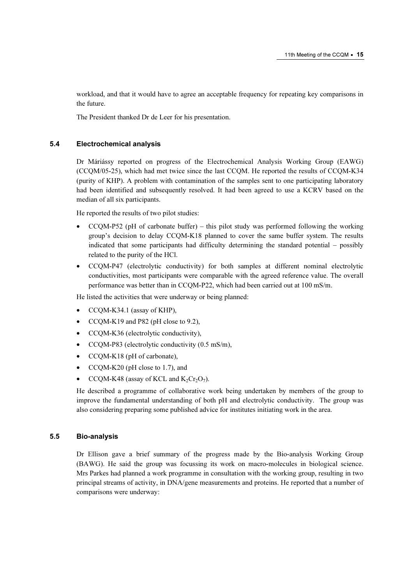workload, and that it would have to agree an acceptable frequency for repeating key comparisons in the future.

The President thanked Dr de Leer for his presentation.

#### 5.4 Electrochemical analysis

Dr Máriássy reported on progress of the Electrochemical Analysis Working Group (EAWG) (CCQM/05-25), which had met twice since the last CCQM. He reported the results of CCQM-K34 (purity of KHP). A problem with contamination of the samples sent to one participating laboratory had been identified and subsequently resolved. It had been agreed to use a KCRV based on the median of all six participants.

He reported the results of two pilot studies:

- CCQM-P52 (pH of carbonate buffer) this pilot study was performed following the working group's decision to delay CCQM-K18 planned to cover the same buffer system. The results indicated that some participants had difficulty determining the standard potential – possibly related to the purity of the HCl.
- CCQM-P47 (electrolytic conductivity) for both samples at different nominal electrolytic conductivities, most participants were comparable with the agreed reference value. The overall performance was better than in CCQM-P22, which had been carried out at 100 mS/m.

He listed the activities that were underway or being planned:

- CCQM-K34.1 (assay of KHP),
- CCQM-K19 and P82 (pH close to 9.2),
- CCQM-K36 (electrolytic conductivity),
- CCQM-P83 (electrolytic conductivity (0.5 mS/m),
- CCOM-K18 (pH of carbonate),
- CCQM-K20 (pH close to 1.7), and
- CCQM-K48 (assay of KCL and  $K_2Cr_2O_7$ ).

He described a programme of collaborative work being undertaken by members of the group to improve the fundamental understanding of both pH and electrolytic conductivity. The group was also considering preparing some published advice for institutes initiating work in the area.

#### 5.5 Bio-analysis

Dr Ellison gave a brief summary of the progress made by the Bio-analysis Working Group (BAWG). He said the group was focussing its work on macro-molecules in biological science. Mrs Parkes had planned a work programme in consultation with the working group, resulting in two principal streams of activity, in DNA/gene measurements and proteins. He reported that a number of comparisons were underway: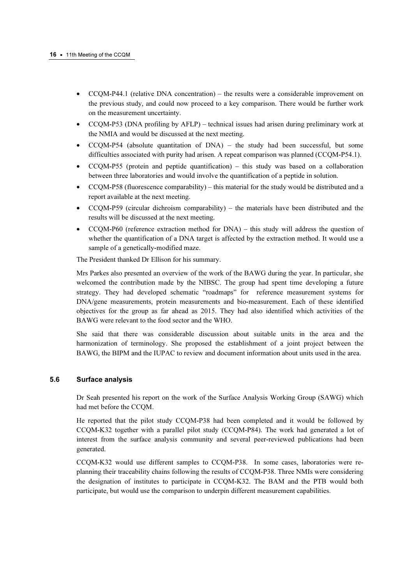- CCQM-P44.1 (relative DNA concentration) the results were a considerable improvement on the previous study, and could now proceed to a key comparison. There would be further work on the measurement uncertainty.
- CCQM-P53 (DNA profiling by AFLP) technical issues had arisen during preliminary work at the NMIA and would be discussed at the next meeting.
- CCQM-P54 (absolute quantitation of DNA) the study had been successful, but some difficulties associated with purity had arisen. A repeat comparison was planned (CCQM-P54.1).
- $CCQM-P55$  (protein and peptide quantification) this study was based on a collaboration between three laboratories and would involve the quantification of a peptide in solution.
- CCQM-P58 (fluorescence comparability) this material for the study would be distributed and a report available at the next meeting.
- $CCQM-P59$  (circular dichroism comparability) the materials have been distributed and the results will be discussed at the next meeting.
- CCQM-P60 (reference extraction method for DNA) this study will address the question of whether the quantification of a DNA target is affected by the extraction method. It would use a sample of a genetically-modified maze.

The President thanked Dr Ellison for his summary.

Mrs Parkes also presented an overview of the work of the BAWG during the year. In particular, she welcomed the contribution made by the NIBSC. The group had spent time developing a future strategy. They had developed schematic "roadmaps" for reference measurement systems for DNA/gene measurements, protein measurements and bio-measurement. Each of these identified objectives for the group as far ahead as 2015. They had also identified which activities of the BAWG were relevant to the food sector and the WHO.

She said that there was considerable discussion about suitable units in the area and the harmonization of terminology. She proposed the establishment of a joint project between the BAWG, the BIPM and the IUPAC to review and document information about units used in the area.

## 5.6 Surface analysis

Dr Seah presented his report on the work of the Surface Analysis Working Group (SAWG) which had met before the CCQM.

He reported that the pilot study CCQM-P38 had been completed and it would be followed by CCQM-K32 together with a parallel pilot study (CCQM-P84). The work had generated a lot of interest from the surface analysis community and several peer-reviewed publications had been generated.

CCQM-K32 would use different samples to CCQM-P38. In some cases, laboratories were replanning their traceability chains following the results of CCQM-P38. Three NMIs were considering the designation of institutes to participate in CCQM-K32. The BAM and the PTB would both participate, but would use the comparison to underpin different measurement capabilities.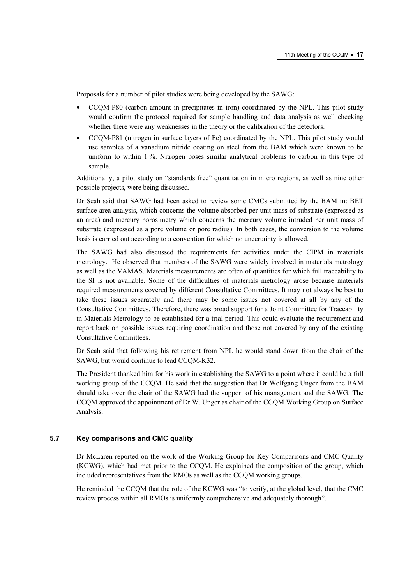Proposals for a number of pilot studies were being developed by the SAWG:

- CCQM-P80 (carbon amount in precipitates in iron) coordinated by the NPL. This pilot study would confirm the protocol required for sample handling and data analysis as well checking whether there were any weaknesses in the theory or the calibration of the detectors.
- CCQM-P81 (nitrogen in surface layers of Fe) coordinated by the NPL. This pilot study would use samples of a vanadium nitride coating on steel from the BAM which were known to be uniform to within 1 %. Nitrogen poses similar analytical problems to carbon in this type of sample.

Additionally, a pilot study on "standards free" quantitation in micro regions, as well as nine other possible projects, were being discussed.

Dr Seah said that SAWG had been asked to review some CMCs submitted by the BAM in: BET surface area analysis, which concerns the volume absorbed per unit mass of substrate (expressed as an area) and mercury porosimetry which concerns the mercury volume intruded per unit mass of substrate (expressed as a pore volume or pore radius). In both cases, the conversion to the volume basis is carried out according to a convention for which no uncertainty is allowed.

The SAWG had also discussed the requirements for activities under the CIPM in materials metrology. He observed that members of the SAWG were widely involved in materials metrology as well as the VAMAS. Materials measurements are often of quantities for which full traceability to the SI is not available. Some of the difficulties of materials metrology arose because materials required measurements covered by different Consultative Committees. It may not always be best to take these issues separately and there may be some issues not covered at all by any of the Consultative Committees. Therefore, there was broad support for a Joint Committee for Traceability in Materials Metrology to be established for a trial period. This could evaluate the requirement and report back on possible issues requiring coordination and those not covered by any of the existing Consultative Committees.

Dr Seah said that following his retirement from NPL he would stand down from the chair of the SAWG, but would continue to lead CCQM-K32.

The President thanked him for his work in establishing the SAWG to a point where it could be a full working group of the CCQM. He said that the suggestion that Dr Wolfgang Unger from the BAM should take over the chair of the SAWG had the support of his management and the SAWG. The CCQM approved the appointment of Dr W. Unger as chair of the CCQM Working Group on Surface Analysis.

#### 5.7 Key comparisons and CMC quality

Dr McLaren reported on the work of the Working Group for Key Comparisons and CMC Quality (KCWG), which had met prior to the CCQM. He explained the composition of the group, which included representatives from the RMOs as well as the CCQM working groups.

He reminded the CCQM that the role of the KCWG was "to verify, at the global level, that the CMC review process within all RMOs is uniformly comprehensive and adequately thorough".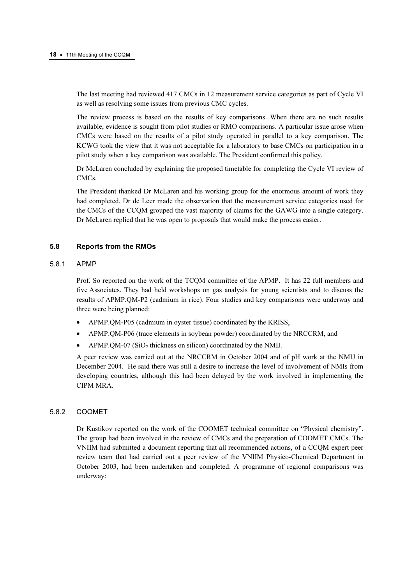The last meeting had reviewed 417 CMCs in 12 measurement service categories as part of Cycle VI as well as resolving some issues from previous CMC cycles.

The review process is based on the results of key comparisons. When there are no such results available, evidence is sought from pilot studies or RMO comparisons. A particular issue arose when CMCs were based on the results of a pilot study operated in parallel to a key comparison. The KCWG took the view that it was not acceptable for a laboratory to base CMCs on participation in a pilot study when a key comparison was available. The President confirmed this policy.

Dr McLaren concluded by explaining the proposed timetable for completing the Cycle VI review of CMCs.

The President thanked Dr McLaren and his working group for the enormous amount of work they had completed. Dr de Leer made the observation that the measurement service categories used for the CMCs of the CCQM grouped the vast majority of claims for the GAWG into a single category. Dr McLaren replied that he was open to proposals that would make the process easier.

## 5.8 Reports from the RMOs

#### 5.8.1 APMP

Prof. So reported on the work of the TCQM committee of the APMP. It has 22 full members and five Associates. They had held workshops on gas analysis for young scientists and to discuss the results of APMP.QM-P2 (cadmium in rice). Four studies and key comparisons were underway and three were being planned:

- APMP.QM-P05 (cadmium in oyster tissue) coordinated by the KRISS,
- APMP.QM-P06 (trace elements in soybean powder) coordinated by the NRCCRM, and
- APMP.QM-07 ( $SiO<sub>2</sub>$  thickness on silicon) coordinated by the NMIJ.

A peer review was carried out at the NRCCRM in October 2004 and of pH work at the NMIJ in December 2004. He said there was still a desire to increase the level of involvement of NMIs from developing countries, although this had been delayed by the work involved in implementing the CIPM MRA.

#### 5.8.2 COOMET

Dr Kustikov reported on the work of the COOMET technical committee on "Physical chemistry". The group had been involved in the review of CMCs and the preparation of COOMET CMCs. The VNIIM had submitted a document reporting that all recommended actions, of a CCQM expert peer review team that had carried out a peer review of the VNIIM Physico-Chemical Department in October 2003, had been undertaken and completed. A programme of regional comparisons was underway: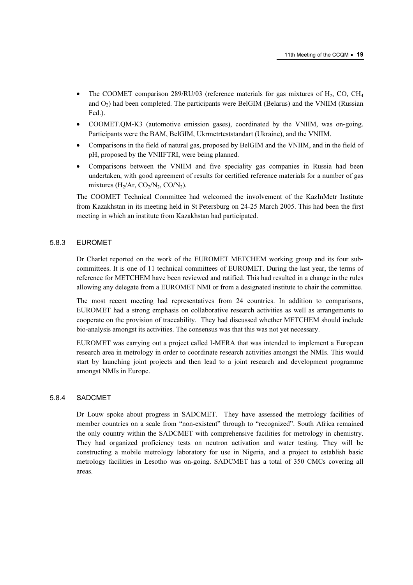- The COOMET comparison 289/RU/03 (reference materials for gas mixtures of  $H<sub>2</sub>$ , CO, CH<sub>4</sub> and  $O<sub>2</sub>$ ) had been completed. The participants were BelGIM (Belarus) and the VNIIM (Russian Fed.).
- COOMET.QM-K3 (automotive emission gases), coordinated by the VNIIM, was on-going. Participants were the BAM, BelGIM, Ukrmetrteststandart (Ukraine), and the VNIIM.
- Comparisons in the field of natural gas, proposed by BelGIM and the VNIIM, and in the field of pH, proposed by the VNIIFTRI, were being planned.
- Comparisons between the VNIIM and five speciality gas companies in Russia had been undertaken, with good agreement of results for certified reference materials for a number of gas mixtures (H<sub>2</sub>/Ar, CO<sub>2</sub>/N<sub>2</sub>, CO/N<sub>2</sub>).

The COOMET Technical Committee had welcomed the involvement of the KazInMetr Institute from Kazakhstan in its meeting held in St Petersburg on 24-25 March 2005. This had been the first meeting in which an institute from Kazakhstan had participated.

## 5.8.3 EUROMET

Dr Charlet reported on the work of the EUROMET METCHEM working group and its four subcommittees. It is one of 11 technical committees of EUROMET. During the last year, the terms of reference for METCHEM have been reviewed and ratified. This had resulted in a change in the rules allowing any delegate from a EUROMET NMI or from a designated institute to chair the committee.

The most recent meeting had representatives from 24 countries. In addition to comparisons, EUROMET had a strong emphasis on collaborative research activities as well as arrangements to cooperate on the provision of traceability. They had discussed whether METCHEM should include bio-analysis amongst its activities. The consensus was that this was not yet necessary.

EUROMET was carrying out a project called I-MERA that was intended to implement a European research area in metrology in order to coordinate research activities amongst the NMIs. This would start by launching joint projects and then lead to a joint research and development programme amongst NMIs in Europe.

#### 5.8.4 SADCMET

Dr Louw spoke about progress in SADCMET. They have assessed the metrology facilities of member countries on a scale from "non-existent" through to "recognized". South Africa remained the only country within the SADCMET with comprehensive facilities for metrology in chemistry. They had organized proficiency tests on neutron activation and water testing. They will be constructing a mobile metrology laboratory for use in Nigeria, and a project to establish basic metrology facilities in Lesotho was on-going. SADCMET has a total of 350 CMCs covering all areas.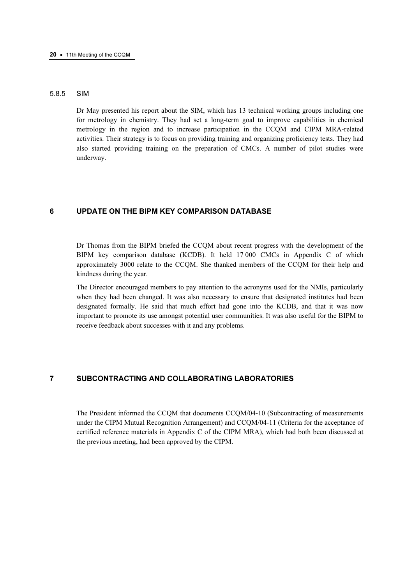#### 5.8.5 SIM

Dr May presented his report about the SIM, which has 13 technical working groups including one for metrology in chemistry. They had set a long-term goal to improve capabilities in chemical metrology in the region and to increase participation in the CCQM and CIPM MRA-related activities. Their strategy is to focus on providing training and organizing proficiency tests. They had also started providing training on the preparation of CMCs. A number of pilot studies were underway.

## 6 UPDATE ON THE BIPM KEY COMPARISON DATABASE

Dr Thomas from the BIPM briefed the CCQM about recent progress with the development of the BIPM key comparison database (KCDB). It held 17 000 CMCs in Appendix C of which approximately 3000 relate to the CCQM. She thanked members of the CCQM for their help and kindness during the year.

The Director encouraged members to pay attention to the acronyms used for the NMIs, particularly when they had been changed. It was also necessary to ensure that designated institutes had been designated formally. He said that much effort had gone into the KCDB, and that it was now important to promote its use amongst potential user communities. It was also useful for the BIPM to receive feedback about successes with it and any problems.

## 7 SUBCONTRACTING AND COLLABORATING LABORATORIES

The President informed the CCQM that documents CCQM/04-10 (Subcontracting of measurements under the CIPM Mutual Recognition Arrangement) and CCQM/04-11 (Criteria for the acceptance of certified reference materials in Appendix C of the CIPM MRA), which had both been discussed at the previous meeting, had been approved by the CIPM.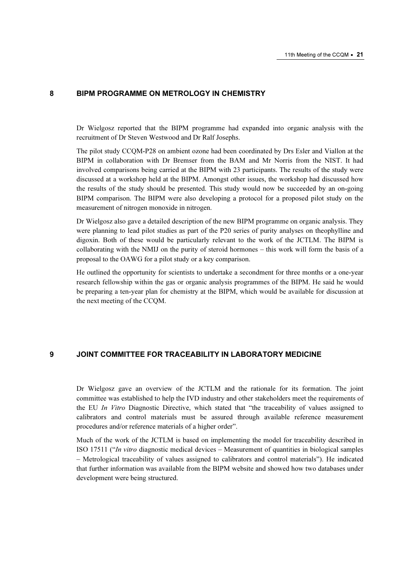#### 8 BIPM PROGRAMME ON METROLOGY IN CHEMISTRY

Dr Wielgosz reported that the BIPM programme had expanded into organic analysis with the recruitment of Dr Steven Westwood and Dr Ralf Josephs.

The pilot study CCQM-P28 on ambient ozone had been coordinated by Drs Esler and Viallon at the BIPM in collaboration with Dr Bremser from the BAM and Mr Norris from the NIST. It had involved comparisons being carried at the BIPM with 23 participants. The results of the study were discussed at a workshop held at the BIPM. Amongst other issues, the workshop had discussed how the results of the study should be presented. This study would now be succeeded by an on-going BIPM comparison. The BIPM were also developing a protocol for a proposed pilot study on the measurement of nitrogen monoxide in nitrogen.

Dr Wielgosz also gave a detailed description of the new BIPM programme on organic analysis. They were planning to lead pilot studies as part of the P20 series of purity analyses on theophylline and digoxin. Both of these would be particularly relevant to the work of the JCTLM. The BIPM is collaborating with the NMIJ on the purity of steroid hormones – this work will form the basis of a proposal to the OAWG for a pilot study or a key comparison.

He outlined the opportunity for scientists to undertake a secondment for three months or a one-year research fellowship within the gas or organic analysis programmes of the BIPM. He said he would be preparing a ten-year plan for chemistry at the BIPM, which would be available for discussion at the next meeting of the CCQM.

# 9 JOINT COMMITTEE FOR TRACEABILITY IN LABORATORY MEDICINE

Dr Wielgosz gave an overview of the JCTLM and the rationale for its formation. The joint committee was established to help the IVD industry and other stakeholders meet the requirements of the EU In Vitro Diagnostic Directive, which stated that "the traceability of values assigned to calibrators and control materials must be assured through available reference measurement procedures and/or reference materials of a higher order".

Much of the work of the JCTLM is based on implementing the model for traceability described in ISO 17511 ("In vitro diagnostic medical devices – Measurement of quantities in biological samples – Metrological traceability of values assigned to calibrators and control materials"). He indicated that further information was available from the BIPM website and showed how two databases under development were being structured.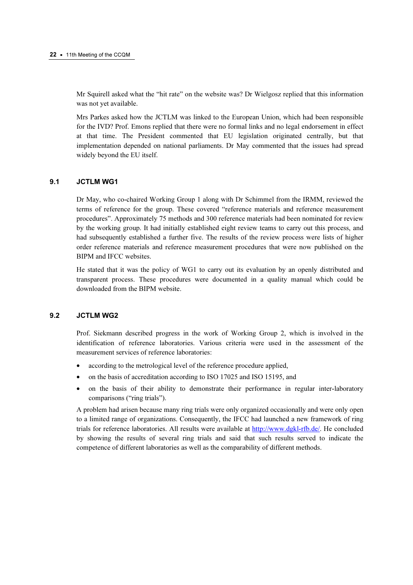Mr Squirell asked what the "hit rate" on the website was? Dr Wielgosz replied that this information was not yet available.

Mrs Parkes asked how the JCTLM was linked to the European Union, which had been responsible for the IVD? Prof. Emons replied that there were no formal links and no legal endorsement in effect at that time. The President commented that EU legislation originated centrally, but that implementation depended on national parliaments. Dr May commented that the issues had spread widely beyond the EU itself.

#### 9.1 JCTLM WG1

Dr May, who co-chaired Working Group 1 along with Dr Schimmel from the IRMM, reviewed the terms of reference for the group. These covered "reference materials and reference measurement procedures". Approximately 75 methods and 300 reference materials had been nominated for review by the working group. It had initially established eight review teams to carry out this process, and had subsequently established a further five. The results of the review process were lists of higher order reference materials and reference measurement procedures that were now published on the BIPM and IFCC websites.

He stated that it was the policy of WG1 to carry out its evaluation by an openly distributed and transparent process. These procedures were documented in a quality manual which could be downloaded from the BIPM website.

## 9.2 JCTLM WG2

Prof. Siekmann described progress in the work of Working Group 2, which is involved in the identification of reference laboratories. Various criteria were used in the assessment of the measurement services of reference laboratories:

- according to the metrological level of the reference procedure applied,
- on the basis of accreditation according to ISO 17025 and ISO 15195, and
- on the basis of their ability to demonstrate their performance in regular inter-laboratory comparisons ("ring trials").

A problem had arisen because many ring trials were only organized occasionally and were only open to a limited range of organizations. Consequently, the IFCC had launched a new framework of ring trials for reference laboratories. All results were available [at http://www.dgkl-rfb.de/. He co](www.dgkl-rfb.de)ncluded by showing the results of several ring trials and said that such results served to indicate the competence of different laboratories as well as the comparability of different methods.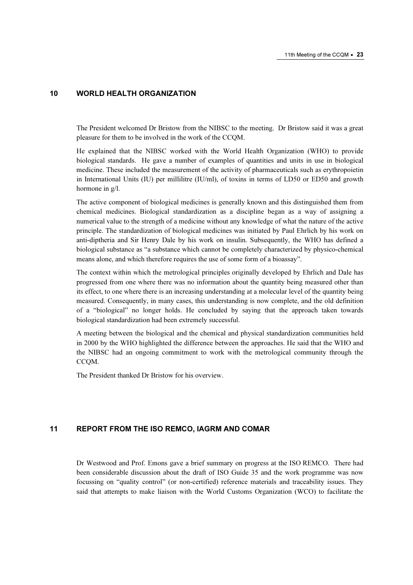#### 10 WORLD HEALTH ORGANIZATION

The President welcomed Dr Bristow from the NIBSC to the meeting. Dr Bristow said it was a great pleasure for them to be involved in the work of the CCQM.

He explained that the NIBSC worked with the World Health Organization (WHO) to provide biological standards. He gave a number of examples of quantities and units in use in biological medicine. These included the measurement of the activity of pharmaceuticals such as erythropoietin in International Units (IU) per millilitre (IU/ml), of toxins in terms of LD50 or ED50 and growth hormone in g/l.

The active component of biological medicines is generally known and this distinguished them from chemical medicines. Biological standardization as a discipline began as a way of assigning a numerical value to the strength of a medicine without any knowledge of what the nature of the active principle. The standardization of biological medicines was initiated by Paul Ehrlich by his work on anti-diptheria and Sir Henry Dale by his work on insulin. Subsequently, the WHO has defined a biological substance as "a substance which cannot be completely characterized by physico-chemical means alone, and which therefore requires the use of some form of a bioassay".

The context within which the metrological principles originally developed by Ehrlich and Dale has progressed from one where there was no information about the quantity being measured other than its effect, to one where there is an increasing understanding at a molecular level of the quantity being measured. Consequently, in many cases, this understanding is now complete, and the old definition of a "biological" no longer holds. He concluded by saying that the approach taken towards biological standardization had been extremely successful.

A meeting between the biological and the chemical and physical standardization communities held in 2000 by the WHO highlighted the difference between the approaches. He said that the WHO and the NIBSC had an ongoing commitment to work with the metrological community through the CCQM.

The President thanked Dr Bristow for his overview.

# 11 REPORT FROM THE ISO REMCO, IAGRM AND COMAR

Dr Westwood and Prof. Emons gave a brief summary on progress at the ISO REMCO. There had been considerable discussion about the draft of ISO Guide 35 and the work programme was now focussing on "quality control" (or non-certified) reference materials and traceability issues. They said that attempts to make liaison with the World Customs Organization (WCO) to facilitate the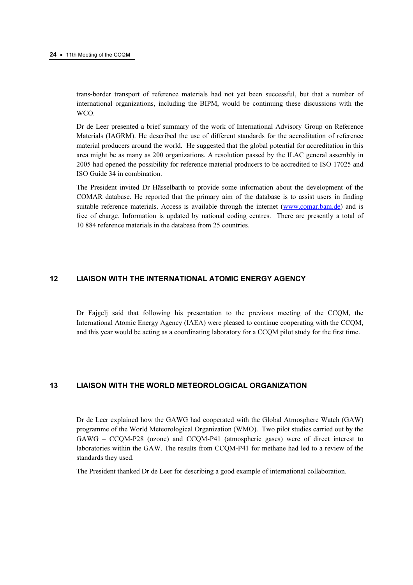trans-border transport of reference materials had not yet been successful, but that a number of international organizations, including the BIPM, would be continuing these discussions with the WCO.

Dr de Leer presented a brief summary of the work of International Advisory Group on Reference Materials (IAGRM). He described the use of different standards for the accreditation of reference material producers around the world. He suggested that the global potential for accreditation in this area might be as many as 200 organizations. A resolution passed by the ILAC general assembly in 2005 had opened the possibility for reference material producers to be accredited to ISO 17025 and ISO Guide 34 in combination.

The President invited Dr Hässelbarth to provide some information about the development of the COMAR database. He reported that the primary aim of the database is to assist users in finding suitable reference materials. Access is available through the internet (www.comar.bam.de) and is free of charge. Information is updated by national coding centres. [There are presently a total of](www.comar.bam.de)  10 884 reference materials in the database from 25 countries.

# 12 LIAISON WITH THE INTERNATIONAL ATOMIC ENERGY AGENCY

Dr Fajgelj said that following his presentation to the previous meeting of the CCQM, the International Atomic Energy Agency (IAEA) were pleased to continue cooperating with the CCQM, and this year would be acting as a coordinating laboratory for a CCQM pilot study for the first time.

# 13 LIAISON WITH THE WORLD METEOROLOGICAL ORGANIZATION

Dr de Leer explained how the GAWG had cooperated with the Global Atmosphere Watch (GAW) programme of the World Meteorological Organization (WMO). Two pilot studies carried out by the GAWG – CCQM-P28 (ozone) and CCQM-P41 (atmospheric gases) were of direct interest to laboratories within the GAW. The results from CCQM-P41 for methane had led to a review of the standards they used.

The President thanked Dr de Leer for describing a good example of international collaboration.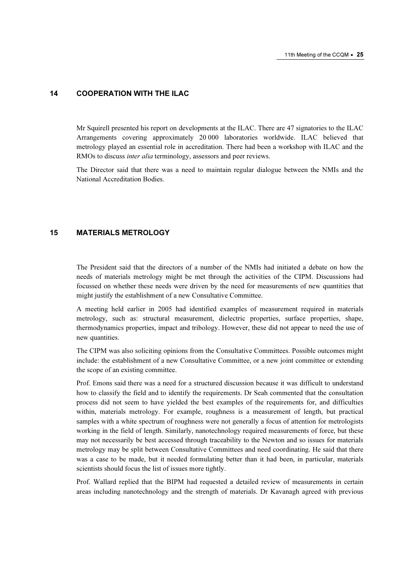#### 14 COOPERATION WITH THE ILAC

Mr Squirell presented his report on developments at the ILAC. There are 47 signatories to the ILAC Arrangements covering approximately 20 000 laboratories worldwide. ILAC believed that metrology played an essential role in accreditation. There had been a workshop with ILAC and the RMOs to discuss inter alia terminology, assessors and peer reviews.

The Director said that there was a need to maintain regular dialogue between the NMIs and the National Accreditation Bodies.

## 15 MATERIALS METROLOGY

The President said that the directors of a number of the NMIs had initiated a debate on how the needs of materials metrology might be met through the activities of the CIPM. Discussions had focussed on whether these needs were driven by the need for measurements of new quantities that might justify the establishment of a new Consultative Committee.

A meeting held earlier in 2005 had identified examples of measurement required in materials metrology, such as: structural measurement, dielectric properties, surface properties, shape, thermodynamics properties, impact and tribology. However, these did not appear to need the use of new quantities.

The CIPM was also soliciting opinions from the Consultative Committees. Possible outcomes might include: the establishment of a new Consultative Committee, or a new joint committee or extending the scope of an existing committee.

Prof. Emons said there was a need for a structured discussion because it was difficult to understand how to classify the field and to identify the requirements. Dr Seah commented that the consultation process did not seem to have yielded the best examples of the requirements for, and difficulties within, materials metrology. For example, roughness is a measurement of length, but practical samples with a white spectrum of roughness were not generally a focus of attention for metrologists working in the field of length. Similarly, nanotechnology required measurements of force, but these may not necessarily be best accessed through traceability to the Newton and so issues for materials metrology may be split between Consultative Committees and need coordinating. He said that there was a case to be made, but it needed formulating better than it had been, in particular, materials scientists should focus the list of issues more tightly.

Prof. Wallard replied that the BIPM had requested a detailed review of measurements in certain areas including nanotechnology and the strength of materials. Dr Kavanagh agreed with previous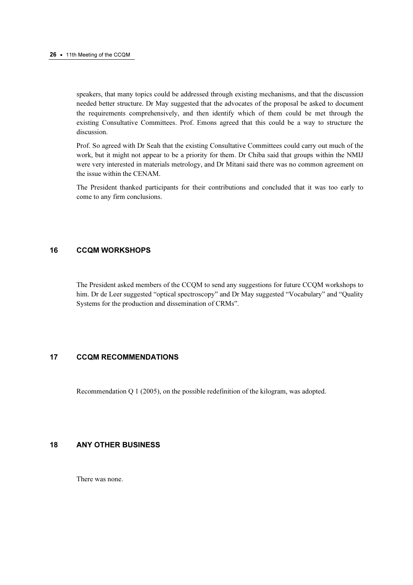speakers, that many topics could be addressed through existing mechanisms, and that the discussion needed better structure. Dr May suggested that the advocates of the proposal be asked to document the requirements comprehensively, and then identify which of them could be met through the existing Consultative Committees. Prof. Emons agreed that this could be a way to structure the discussion.

Prof. So agreed with Dr Seah that the existing Consultative Committees could carry out much of the work, but it might not appear to be a priority for them. Dr Chiba said that groups within the NMIJ were very interested in materials metrology, and Dr Mitani said there was no common agreement on the issue within the CENAM.

The President thanked participants for their contributions and concluded that it was too early to come to any firm conclusions.

## 16 CCQM WORKSHOPS

The President asked members of the CCQM to send any suggestions for future CCQM workshops to him. Dr de Leer suggested "optical spectroscopy" and Dr May suggested "Vocabulary" and "Quality Systems for the production and dissemination of CRMs".

# 17 CCQM RECOMMENDATIONS

Recommendation Q 1 (2005), on the possible redefinition of the kilogram, was adopted.

# 18 ANY OTHER BUSINESS

There was none.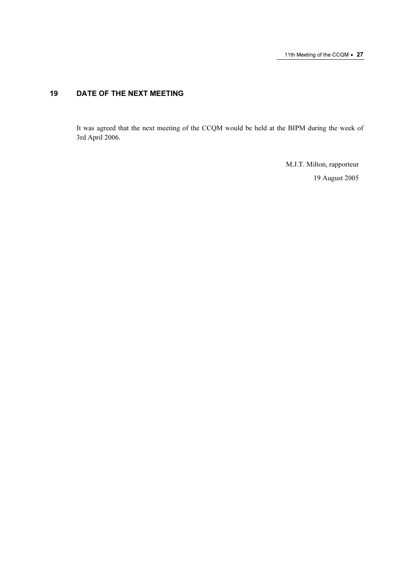# 19 DATE OF THE NEXT MEETING

It was agreed that the next meeting of the CCQM would be held at the BIPM during the week of 3rd April 2006.

> M.J.T. Milton, rapporteur 19 August 2005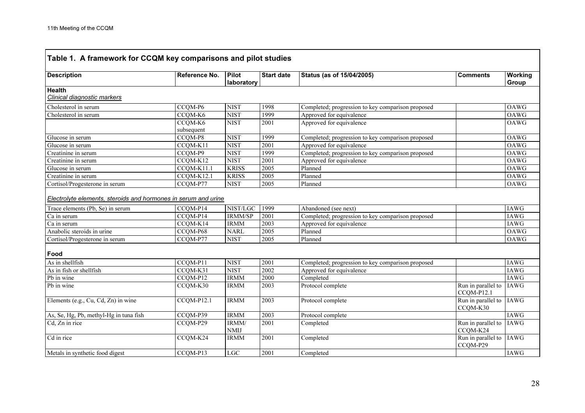ř.

| <b>Description</b>                              | Reference No.        | Pilot<br>laboratory        | <b>Start date</b> | Status (as of 15/04/2005)                                                 | <b>Comments</b>                  | <b>Working</b><br>Group |
|-------------------------------------------------|----------------------|----------------------------|-------------------|---------------------------------------------------------------------------|----------------------------------|-------------------------|
| <b>Health</b>                                   |                      |                            |                   |                                                                           |                                  |                         |
| Clinical diagnostic markers                     |                      |                            |                   |                                                                           |                                  |                         |
| Cholesterol in serum                            | CCQM-P6              | <b>NIST</b>                | 1998              | Completed; progression to key comparison proposed                         |                                  | <b>OAWG</b>             |
| Cholesterol in serum                            | CCOM-K6              | <b>NIST</b>                | 1999              | Approved for equivalence                                                  |                                  | <b>OAWG</b>             |
|                                                 | CCQM-K6              | <b>NIST</b>                | 2001              | Approved for equivalence                                                  |                                  | OAWG                    |
|                                                 | subsequent           |                            |                   |                                                                           |                                  |                         |
| Glucose in serum                                | CCQM-P8              | <b>NIST</b>                | 1999              | Completed; progression to key comparison proposed                         |                                  | OAWG                    |
| Glucose in serum                                | CCQM-K11             | <b>NIST</b>                | 2001              | Approved for equivalence                                                  |                                  | OAWG                    |
| Creatinine in serum                             | CCQM-P9              | <b>NIST</b>                | 1999              | Completed; progression to key comparison proposed                         |                                  | <b>OAWG</b>             |
| Creatinine in serum                             | CCQM-K12             | <b>NIST</b>                | 2001              | Approved for equivalence                                                  |                                  | <b>OAWG</b>             |
| Glucose in serum                                | CCQM-K11.1           | <b>KRISS</b>               | 2005              | Planned                                                                   |                                  | OAWG                    |
| Creatinine in serum                             | $CCOM-K12.1$         | <b>KRISS</b>               | 2005              | Planned                                                                   |                                  | <b>OAWG</b>             |
| Cortisol/Progesterone in serum                  | CCQM-P77             | <b>NIST</b>                | 2005              | Planned                                                                   |                                  | OAWG                    |
| Trace elements (Pb, Se) in serum<br>Ca in serum | CCQM-P14<br>CCQM-P14 | NIST/LGC<br><b>IRMM/SP</b> | 1999<br>2001      | Abandoned (see next)<br>Completed; progression to key comparison proposed |                                  | <b>IAWG</b><br>IAWG     |
| Ca in serum                                     | CCQM-K14             | <b>IRMM</b>                | 2003              | Approved for equivalence                                                  |                                  | <b>IAWG</b>             |
| Anabolic steroids in urine                      | CCQM-P68             | <b>NARL</b>                | 2005              | Planned                                                                   |                                  | OAWG                    |
| Cortisol/Progesterone in serum                  | CCQM-P77             | <b>NIST</b>                | 2005              | Planned                                                                   |                                  | OAWG                    |
| Food                                            |                      |                            |                   |                                                                           |                                  |                         |
| As in shellfish                                 | CCQM-P11             | <b>NIST</b>                | 2001              | Completed; progression to key comparison proposed                         |                                  | <b>IAWG</b>             |
| As in fish or shellfish                         | CCQM-K31             | <b>NIST</b>                | 2002              | Approved for equivalence                                                  |                                  | <b>IAWG</b>             |
| Pb in wine                                      | CCQM-P12             | <b>IRMM</b>                | 2000              | Completed                                                                 |                                  | <b>IAWG</b>             |
| Ph in wine                                      | CCQM-K30             | <b>IRMM</b>                | 2003              | Protocol complete                                                         | Run in parallel to<br>CCQM-P12.1 | <b>IAWG</b>             |
| Elements (e.g., Cu, Cd, Zn) in wine             | CCQM-P12.1           | <b>IRMM</b>                | 2003              | Protocol complete                                                         | Run in parallel to<br>CCQM-K30   | <b>IAWG</b>             |
| As, Se, Hg, Pb, methyl-Hg in tuna fish          | CCQM-P39             | <b>IRMM</b>                | 2003              | Protocol complete                                                         |                                  | <b>IAWG</b>             |
| Cd, Zn in rice                                  | CCQM-P29             | IRMM/<br><b>NMIJ</b>       | 2001              | Completed                                                                 | Run in parallel to<br>CCQM-K24   | <b>IAWG</b>             |
| Cd in rice                                      | CCQM-K24             | <b>IRMM</b>                | 2001              | Completed                                                                 | Run in parallel to<br>CCQM-P29   | <b>IAWG</b>             |
| Metals in synthetic food digest                 | CCQM-P13             | $_{\rm LGC}$               | 2001              | Completed                                                                 |                                  | <b>IAWG</b>             |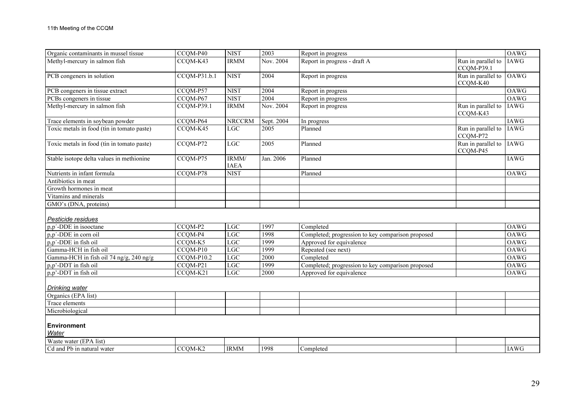| Organic contaminants in mussel tissue      | CCQM-P40     | <b>NIST</b>          | 2003       | Report in progress                                |                                  | <b>OAWG</b> |
|--------------------------------------------|--------------|----------------------|------------|---------------------------------------------------|----------------------------------|-------------|
| Methyl-mercury in salmon fish              | CCQM-K43     | <b>IRMM</b>          | Nov. 2004  | Report in progress - draft A                      | Run in parallel to<br>CCQM-P39.1 | <b>IAWG</b> |
| PCB congeners in solution                  | CCQM-P31.b.1 | <b>NIST</b>          | 2004       | Report in progress                                | Run in parallel to<br>CCQM-K40   | <b>OAWG</b> |
| PCB congeners in tissue extract            | CCOM-P57     | <b>NIST</b>          | 2004       | Report in progress                                |                                  | <b>OAWG</b> |
| PCBs congeners in tissue                   | CCQM-P67     | <b>NIST</b>          | 2004       | Report in progress                                |                                  | <b>OAWG</b> |
| Methyl-mercury in salmon fish              | CCQM-P39.1   | <b>IRMM</b>          | Nov. 2004  | Report in progress                                | Run in parallel to<br>CCQM-K43   | IAWG        |
| Trace elements in soybean powder           | CCQM-P64     | <b>NRCCRM</b>        | Sept. 2004 | In progress                                       |                                  | IAWG        |
| Toxic metals in food (tin in tomato paste) | CCQM-K45     | LGC                  | 2005       | Planned                                           | Run in parallel to<br>CCQM-P72   | <b>IAWG</b> |
| Toxic metals in food (tin in tomato paste) | CCQM-P72     | $_{\rm LGC}$         | 2005       | Planned                                           | Run in parallel to<br>CCQM-P45   | IAWG        |
| Stable isotope delta values in methionine  | CCQM-P75     | IRMM/<br><b>IAEA</b> | Jan. 2006  | Planned                                           |                                  | <b>IAWG</b> |
| Nutrients in infant formula                | CCQM-P78     | <b>NIST</b>          |            | Planned                                           |                                  | OAWG        |
| Antibiotics in meat                        |              |                      |            |                                                   |                                  |             |
| Growth hormones in meat                    |              |                      |            |                                                   |                                  |             |
| Vitamins and minerals                      |              |                      |            |                                                   |                                  |             |
| GMO's (DNA, proteins)                      |              |                      |            |                                                   |                                  |             |
| Pesticide residues                         |              |                      |            |                                                   |                                  |             |
| p,p'-DDE in isooctane                      | CCQM-P2      | <b>LGC</b>           | 1997       | Completed                                         |                                  | OAWG        |
| p,p'-DDE in corn oil                       | CCQM-P4      | LGC                  | 1998       | Completed; progression to key comparison proposed |                                  | <b>OAWG</b> |
| p,p'-DDE in fish oil                       | CCQM-K5      | LGC                  | 1999       | Approved for equivalence                          |                                  | <b>OAWG</b> |
| Gamma-HCH in fish oil                      | CCQM-P10     | LGC                  | 1999       | Repeated (see next)                               |                                  | OAWG        |
| Gamma-HCH in fish oil 74 ng/g, 240 ng/g    | CCQM-P10.2   | <b>LGC</b>           | 2000       | Completed                                         |                                  | OAWG        |
| p,p'-DDT in fish oil                       | CCQM-P21     | <b>LGC</b>           | 1999       | Completed; progression to key comparison proposed |                                  | <b>OAWG</b> |
| p,p'-DDT in fish oil                       | CCQM-K21     | <b>LGC</b>           | 2000       | Approved for equivalence                          |                                  | OAWG        |
| Drinking water                             |              |                      |            |                                                   |                                  |             |
| Organics (EPA list)                        |              |                      |            |                                                   |                                  |             |
| Trace elements                             |              |                      |            |                                                   |                                  |             |
| Microbiological                            |              |                      |            |                                                   |                                  |             |
| <b>Environment</b>                         |              |                      |            |                                                   |                                  |             |
| Water                                      |              |                      |            |                                                   |                                  |             |
| Waste water (EPA list)                     |              |                      |            |                                                   |                                  |             |
| Cd and Pb in natural water                 | CCQM-K2      | <b>IRMM</b>          | 1998       | Completed                                         |                                  | <b>IAWG</b> |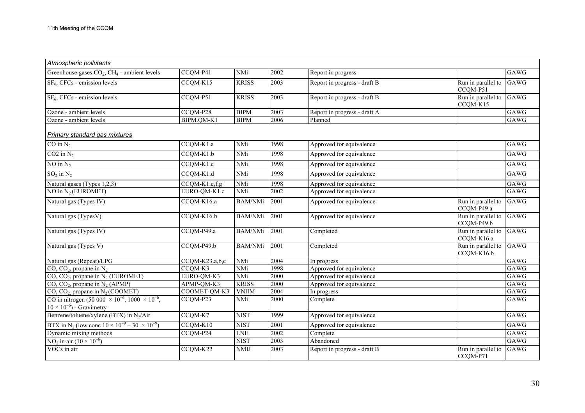| Atmospheric pollutants                                                                   |                |                |      |                              |                                  |                   |
|------------------------------------------------------------------------------------------|----------------|----------------|------|------------------------------|----------------------------------|-------------------|
| Greenhouse gases $CO2$ , CH <sub>4</sub> - ambient levels                                | CCQM-P41       | NMi            | 2002 | Report in progress           |                                  | GAWG              |
| $SF6$ , CFCs - emission levels                                                           | CCQM-K15       | <b>KRISS</b>   | 2003 | Report in progress - draft B | Run in parallel to<br>CCQM-P51   | GAWG              |
| $SF6$ , CFCs - emission levels                                                           | CCQM-P51       | <b>KRISS</b>   | 2003 | Report in progress - draft B | Run in parallel to<br>CCQM-K15   | GAWG              |
| Ozone - ambient levels                                                                   | CCQM-P28       | <b>BIPM</b>    | 2003 | Report in progress - draft A |                                  | $\overline{G}AWG$ |
| Ozone - ambient levels                                                                   | BIPM.QM-K1     | <b>BIPM</b>    | 2006 | Planned                      |                                  | GAWG              |
| <b>Primary standard gas mixtures</b>                                                     |                |                |      |                              |                                  |                   |
| $\overline{CO}$ in $N_2$                                                                 | CCQM-K1.a      | <b>NMi</b>     | 1998 | Approved for equivalence     |                                  | GAWG              |
| $CO2$ in $N_2$                                                                           | $CCQM-K1.b$    | NMi            | 1998 | Approved for equivalence     |                                  | GAWG              |
| NO in $N_2$                                                                              | CCQM-K1.c      | NMi            | 1998 | Approved for equivalence     |                                  | GAWG              |
| $SO_2$ in $N_2$                                                                          | $CCQM-K1.d$    | <b>NMi</b>     | 1998 | Approved for equivalence     |                                  | GAWG              |
| Natural gases (Types 1,2,3)                                                              | CCQM-K1.e,f,g  | <b>NMi</b>     | 1998 | Approved for equivalence     |                                  | GAWG              |
| NO in $N_2$ (EUROMET)                                                                    | EURO-QM-K1.c   | NMi            | 2002 | Approved for equivalence     |                                  | GAWG              |
| Natural gas (Types IV)                                                                   | CCQM-K16.a     | BAM/NMi        | 2001 | Approved for equivalence     | Run in parallel to<br>CCQM-P49.a | GAWG              |
| Natural gas (TypesV)                                                                     | CCQM-K16.b     | <b>BAM/NMi</b> | 2001 | Approved for equivalence     | Run in parallel to<br>CCQM-P49.b | GAWG              |
| Natural gas (Types IV)                                                                   | CCQM-P49.a     | <b>BAM/NMi</b> | 2001 | Completed                    | Run in parallel to<br>CCQM-K16.a | GAWG              |
| Natural gas (Types V)                                                                    | $CCQM-P49.b$   | <b>BAM/NMi</b> | 2001 | Completed                    | Run in parallel to<br>CCQM-K16.b | GAWG              |
| Natural gas (Repeat)/LPG                                                                 | CCQM-K23.a,b,c | NMi            | 2004 | In progress                  |                                  | $\overline{G}AWG$ |
| CO, CO <sub>2</sub> , propane in $N_2$                                                   | CCQM-K3        | NMi            | 1998 | Approved for equivalence     |                                  | GAWG              |
| $CO$ , $CO2$ , propane in N <sub>2</sub> (EUROMET)                                       | EURO-QM-K3     | NMi            | 2000 | Approved for equivalence     |                                  | GAWG              |
| CO, CO <sub>2</sub> , propane in $N_2$ (APMP)                                            | APMP-QM-K3     | <b>KRISS</b>   | 2000 | Approved for equivalence     |                                  | GAWG              |
| $CO$ , $CO2$ propane in N <sub>2</sub> (COOMET)                                          | COOMET-QM-K3   | <b>VNIIM</b>   | 2004 | In progress                  |                                  | GAWG              |
| CO in nitrogen (50 000 $\times$ 10 <sup>-6</sup> , 1000 $\times$ 10 <sup>-6</sup> ,      | CCQM-P23       | NMi            | 2000 | Complete                     |                                  | GAWG              |
| $10 \times 10^{-6}$ ) - Gravimetry                                                       |                |                |      |                              |                                  |                   |
| Benzene/toluene/xylene (BTX) in N <sub>2</sub> /Air                                      | CCQM-K7        | <b>NIST</b>    | 1999 | Approved for equivalence     |                                  | GAWG              |
| BTX in N <sub>2</sub> (low conc $\frac{10 \times 10^{-9} - 30 \times 10^{-9}}{10^{6}}$ ) | CCQM-K10       | <b>NIST</b>    | 2001 | Approved for equivalence     |                                  | GAWG              |
| Dynamic mixing methods                                                                   | CCQM-P24       | ${\rm LNE}$    | 2002 | Complete                     |                                  | GAWG              |
| NO <sub>2</sub> in air $(10 \times 10^{-6})$                                             |                | <b>NIST</b>    | 2003 | Abandoned                    |                                  | GAWG              |
| VOCs in air                                                                              | CCQM-K22       | <b>NMIJ</b>    | 2003 | Report in progress - draft B | Run in parallel to<br>CCQM-P71   | GAWG              |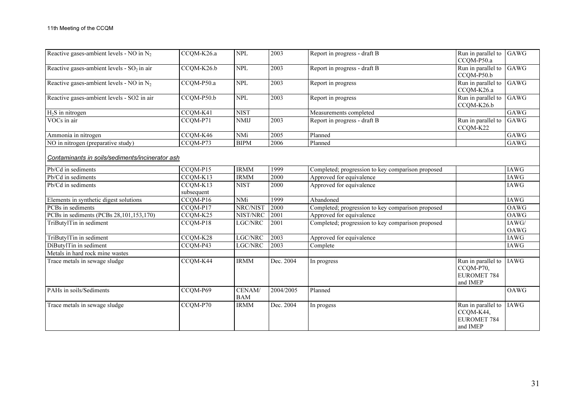| Reactive gases-ambient levels - NO in $N_2$     | CCQM-K26.a             | <b>NPL</b>           | 2003      | Report in progress - draft B                      | Run in parallel to<br>CCQM-P50.a                                  | GAWG          |
|-------------------------------------------------|------------------------|----------------------|-----------|---------------------------------------------------|-------------------------------------------------------------------|---------------|
| Reactive gases-ambient levels - $SO_2$ in air   | CCQM-K26.b             | <b>NPL</b>           | 2003      | Report in progress - draft B                      | Run in parallel to<br>CCQM-P50.b                                  | GAWG          |
| Reactive gases-ambient levels - NO in $N_2$     | CCQM-P50.a             | <b>NPL</b>           | 2003      | Report in progress                                | Run in parallel to<br>CCQM-K26.a                                  | GAWG          |
| Reactive gases-ambient levels - SO2 in air      | $CCQM-P50.b$           | <b>NPL</b>           | 2003      | Report in progress                                | Run in parallel to<br>CCQM-K26.b                                  | GAWG          |
| $H_2S$ in nitrogen                              | CCQM-K41               | <b>NIST</b>          |           | Measurements completed                            |                                                                   | GAWG          |
| VOCs in air                                     | CCQM-P71               | <b>NMIJ</b>          | 2003      | Report in progress - draft B                      | Run in parallel to<br>CCQM-K22                                    | GAWG          |
| Ammonia in nitrogen                             | CCQM-K46               | <b>NMi</b>           | 2005      | Planned                                           |                                                                   | GAWG          |
| NO in nitrogen (preparative study)              | CCQM-P73               | <b>BIPM</b>          | 2006      | Planned                                           |                                                                   | GAWG          |
| Contaminants in soils/sediments/incinerator ash |                        |                      |           |                                                   |                                                                   |               |
| Pb/Cd in sediments                              | CCQM-P15               | <b>IRMM</b>          | 1999      | Completed; progression to key comparison proposed |                                                                   | <b>IAWG</b>   |
| Pb/Cd in sediments                              | CCQM-K13               | <b>IRMM</b>          | 2000      | Approved for equivalence                          |                                                                   | <b>IAWG</b>   |
| Pb/Cd in sediments                              | CCQM-K13<br>subsequent | <b>NIST</b>          | 2000      | Approved for equivalence                          |                                                                   | <b>IAWG</b>   |
| Elements in synthetic digest solutions          | CCQM-P16               | <b>NMi</b>           | 1999      | Abandoned                                         |                                                                   | <b>IAWG</b>   |
| PCBs in sediments                               | CCQM-P17               | NRC/NIST             | 2000      | Completed; progression to key comparison proposed |                                                                   | OAWG          |
| PCBs in sediments (PCBs 28,101,153,170)         | CCQM-K25               | NIST/NRC             | 2001      | Approved for equivalence                          |                                                                   | OAWG          |
| TriButylTin in sediment                         | CCQM-P18               | LGC/NRC              | 2001      | Completed; progression to key comparison proposed |                                                                   | IAWG/<br>OAWG |
| TriButylTin in sediment                         | CCQM-K28               | $_{\rm LGC/NRC}$     | 2003      | Approved for equivalence                          |                                                                   | IAWG          |
| DiButylTin in sediment                          | CCOM-P43               | <b>LGC/NRC</b>       | 2003      | Complete                                          |                                                                   | <b>IAWG</b>   |
| Metals in hard rock mine wastes                 |                        |                      |           |                                                   |                                                                   |               |
| Trace metals in sewage sludge                   | CCQM-K44               | <b>IRMM</b>          | Dec. 2004 | In progress                                       | Run in parallel to<br>CCQM-P70,<br>EUROMET 784<br>and IMEP        | <b>IAWG</b>   |
| PAHs in soils/Sediments                         | CCQM-P69               | CENAM/<br><b>BAM</b> | 2004/2005 | Planned                                           |                                                                   | <b>OAWG</b>   |
| Trace metals in sewage sludge                   | $CCQM- P70$            | <b>IRMM</b>          | Dec. 2004 | In progess                                        | Run in parallel to<br>CCQM-K44,<br><b>EUROMET 784</b><br>and IMEP | <b>IAWG</b>   |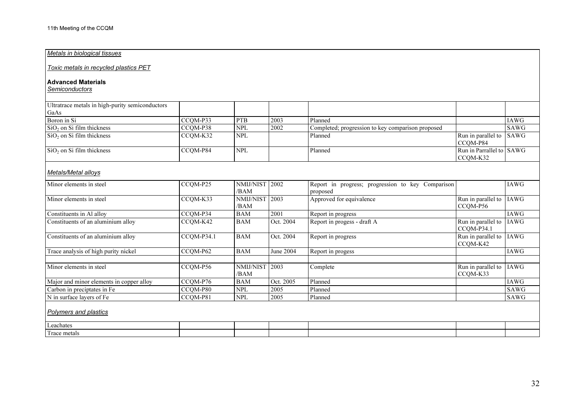#### Metals in biological tissues

Toxic metals in recycled plastics PET

#### Advanced Materials

Semiconductors

| Ultratrace metals in high-purity semiconductors |          |            |      |                                                   |                          |             |
|-------------------------------------------------|----------|------------|------|---------------------------------------------------|--------------------------|-------------|
| GaAs                                            |          |            |      |                                                   |                          |             |
| Boron in Si                                     | CCOM-P33 | <b>PTB</b> | 2003 | Planned                                           |                          | <b>IAWG</b> |
| $\sin 50$ on Si film thickness                  | CCOM-P38 | <b>NPL</b> | 2002 | Completed; progression to key comparison proposed |                          | <b>SAWG</b> |
| $\sin 50$ on Si film thickness                  | CCOM-K32 | <b>NPL</b> |      | Planned                                           | Run in parallel to SAWG  |             |
|                                                 |          |            |      |                                                   | CCOM-P84                 |             |
| $\sin 50$ , on Si film thickness                | CCOM-P84 | <b>NPL</b> |      | Planned                                           | Run in Parrallel to SAWG |             |
|                                                 |          |            |      |                                                   | CCOM-K32                 |             |

## Metals/Metal alloys

| Minor elements in steel                  | CCQM-P25   | <b>NMIJ/NIST   2002</b><br>/BAM |           | Report in progress; progression to key Comparison<br>proposed |                                  | <b>IAWG</b> |
|------------------------------------------|------------|---------------------------------|-----------|---------------------------------------------------------------|----------------------------------|-------------|
| Minor elements in steel                  | CCQM-K33   | NMIJ/NIST<br>/BAM               | 2003      | Approved for equivalence                                      | Run in parallel to<br>CCOM-P56   | IAWG        |
| Constituents in Al alloy                 | CCOM-P34   | <b>BAM</b>                      | 2001      | Report in progress                                            |                                  | <b>IAWG</b> |
| Constituents of an aluminium alloy       | CCOM-K42   | <b>BAM</b>                      | Oct. 2004 | Report in progess - draft A                                   | Run in parallel to<br>CCOM-P34.1 | IAWG        |
| Constituents of an aluminium alloy       | CCOM-P34.1 | <b>BAM</b>                      | Oct. 2004 | Report in progress                                            | Run in parallel to<br>CCQM-K42   | IAWG        |
| Trace analysis of high purity nickel     | CCOM-P62   | <b>BAM</b>                      | June 2004 | Report in progess                                             |                                  | <b>IAWG</b> |
|                                          |            |                                 |           |                                                               |                                  |             |
| Minor elements in steel                  | CCQM-P56   | NMIJ/NIST<br>/BAM               | 2003      | Complete                                                      | Run in parallel to<br>CCOM-K33   | IAWG        |
| Major and minor elements in copper alloy | CCOM-P76   | <b>BAM</b>                      | Oct. 2005 | Planned                                                       |                                  | <b>IAWG</b> |
| Carbon in preciptates in Fe              | CCOM-P80   | <b>NPL</b>                      | 2005      | Planned                                                       |                                  | SAWG        |
| N in surface layers of Fe                | CCOM-P81   | <b>NPL</b>                      | 2005      | Planned                                                       |                                  | <b>SAWG</b> |
| <b>Polymers and plastics</b>             |            |                                 |           |                                                               |                                  |             |
| Leachates                                |            |                                 |           |                                                               |                                  |             |
| Trace metals                             |            |                                 |           |                                                               |                                  |             |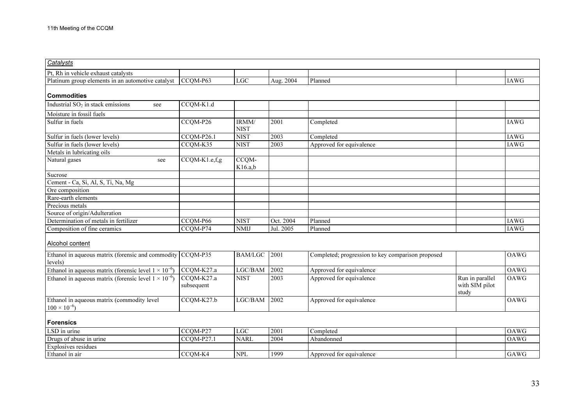| Catalysts                                                             |                          |                      |           |                                                   |                                            |             |
|-----------------------------------------------------------------------|--------------------------|----------------------|-----------|---------------------------------------------------|--------------------------------------------|-------------|
| Pt, Rh in vehicle exhaust catalysts                                   |                          |                      |           |                                                   |                                            |             |
| Platinum group elements in an automotive catalyst                     | CCQM-P63                 | LGC                  | Aug. 2004 | Planned                                           |                                            | <b>IAWG</b> |
|                                                                       |                          |                      |           |                                                   |                                            |             |
| <b>Commodities</b>                                                    |                          |                      |           |                                                   |                                            |             |
| Industrial $SO2$ in stack emissions<br>see                            | CCQM-K1.d                |                      |           |                                                   |                                            |             |
| Moisture in fossil fuels                                              |                          |                      |           |                                                   |                                            |             |
| Sulfur in fuels                                                       | CCQM-P26                 | IRMM/<br><b>NIST</b> | 2001      | Completed                                         |                                            | <b>IAWG</b> |
| Sulfur in fuels (lower levels)                                        | CCQM-P26.1               | <b>NIST</b>          | 2003      | Completed                                         |                                            | <b>IAWG</b> |
| Sulfur in fuels (lower levels)                                        | CCQM-K35                 | <b>NIST</b>          | 2003      | Approved for equivalence                          |                                            | <b>IAWG</b> |
| Metals in lubricating oils                                            |                          |                      |           |                                                   |                                            |             |
| Natural gases<br>see                                                  | CCQM-K1.e,f,g            | CCQM-<br>K16.a,b     |           |                                                   |                                            |             |
| Sucrose                                                               |                          |                      |           |                                                   |                                            |             |
| Cement - Ca, Si, Al, S, Ti, Na, Mg                                    |                          |                      |           |                                                   |                                            |             |
| Ore composition                                                       |                          |                      |           |                                                   |                                            |             |
| Rare-earth elements                                                   |                          |                      |           |                                                   |                                            |             |
| Precious metals                                                       |                          |                      |           |                                                   |                                            |             |
| Source of origin/Adulteration                                         |                          |                      |           |                                                   |                                            |             |
| Determination of metals in fertilizer                                 | CCQM-P66                 | <b>NIST</b>          | Oct. 2004 | Planned                                           |                                            | <b>IAWG</b> |
| Composition of fine ceramics                                          | CCOM-P74                 | <b>NMIJ</b>          | Jul. 2005 | Planned                                           |                                            | <b>IAWG</b> |
| Alcohol content                                                       |                          |                      |           |                                                   |                                            |             |
| Ethanol in aqueous matrix (forensic and commodity CCQM-P35<br>levels) |                          | <b>BAM/LGC</b>       | 2001      | Completed; progression to key comparison proposed |                                            | OAWG        |
| Ethanol in aqueous matrix (forensic level $1 \times 10^{-6}$ )        | CCQM-K27.a               | LGC/BAM              | 2002      | Approved for equivalence                          |                                            | <b>OAWG</b> |
| Ethanol in aqueous matrix (forensic level $1 \times 10^{-6}$ )        | CCQM-K27.a<br>subsequent | <b>NIST</b>          | 2003      | Approved for equivalence                          | Run in parallel<br>with SIM pilot<br>study | OAWG        |
| Ethanol in aqueous matrix (commodity level                            | CCQM-K27.b               | LGC/BAM              | 2002      | Approved for equivalence                          |                                            | <b>OAWG</b> |
| $100 \times 10^{-6}$                                                  |                          |                      |           |                                                   |                                            |             |
| <b>Forensics</b>                                                      |                          |                      |           |                                                   |                                            |             |
| LSD in urine                                                          | CCQM-P27                 | $_{\rm LGC}$         | 2001      | Completed                                         |                                            | OAWG        |
| Drugs of abuse in urine                                               | CCQM-P27.1               | <b>NARL</b>          | 2004      | Abandonned                                        |                                            | <b>OAWG</b> |
| Explosives residues                                                   |                          |                      |           |                                                   |                                            |             |
| Ethanol in air                                                        | CCQM-K4                  | <b>NPL</b>           | 1999      | Approved for equivalence                          |                                            | GAWG        |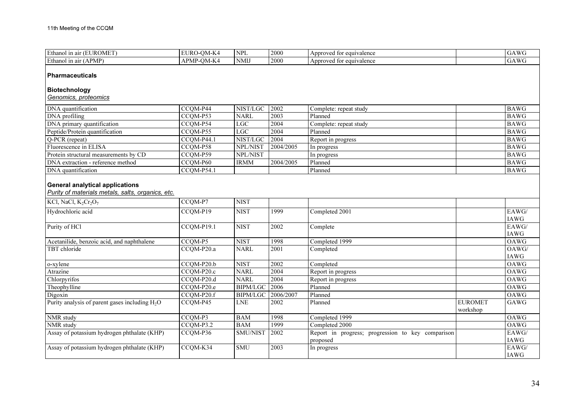| Ethanol in air (EUROMET)                                                                                               | EURO-QM-K4               | <b>NPL</b>      | 2000      | Approved for equivalence                                      |                            | $\overline{GAWG}$    |
|------------------------------------------------------------------------------------------------------------------------|--------------------------|-----------------|-----------|---------------------------------------------------------------|----------------------------|----------------------|
| Ethanol in air (APMP)                                                                                                  | APMP-QM-K4               | <b>NMIJ</b>     | 2000      | Approved for equivalence                                      |                            | GAWG                 |
| <b>Pharmaceuticals</b><br>Biotechnology<br>Genomics, proteomics                                                        |                          |                 |           |                                                               |                            |                      |
| DNA quantification                                                                                                     | $\overline{CC}$ QM-P44   | NIST/LGC        | 2002      | Complete: repeat study                                        |                            | <b>BAWG</b>          |
| DNA profiling                                                                                                          | CCQM-P53                 | <b>NARL</b>     | 2003      | Planned                                                       |                            | <b>BAWG</b>          |
| DNA primary quantification                                                                                             | CCQM-P54                 | LGC             | 2004      | Complete: repeat study                                        |                            | <b>BAWG</b>          |
| Peptide/Protein quantification                                                                                         | CCQM-P55                 | LGC             | 2004      | Planned                                                       |                            | <b>BAWG</b>          |
| Q-PCR (repeat)                                                                                                         | $\overline{CCQM}$ -P44.1 | NIST/LGC        | 2004      | Report in progress                                            |                            | <b>BAWG</b>          |
| Fluorescence in ELISA                                                                                                  | CCQM-P58                 | NPL/NIST        | 2004/2005 | In progress                                                   |                            | <b>BAWG</b>          |
| Protein structural measurements by CD                                                                                  | CCQM-P59                 | NPL/NIST        |           | In progress                                                   |                            | <b>BAWG</b>          |
| DNA extraction - reference method                                                                                      | CCOM-P60                 | <b>IRMM</b>     | 2004/2005 | Planned                                                       |                            | <b>BAWG</b>          |
| DNA quantification                                                                                                     | $CCOM-P54.1$             |                 |           | Planned                                                       |                            | <b>BAWG</b>          |
| <b>General analytical applications</b><br>Purity of materials metals, salts, organics, etc.<br>KCl, NaCl, $K_2Cr_2O_7$ | CCQM-P7                  | <b>NIST</b>     |           |                                                               |                            |                      |
| Hydrochloric acid                                                                                                      | $CCOM-P19$               | <b>NIST</b>     | 1999      | Completed 2001                                                |                            | EAWG/<br>IAWG        |
| Purity of HCl                                                                                                          | CCQM-P19.1               | <b>NIST</b>     | 2002      | Complete                                                      |                            | EAWG/<br>IAWG        |
| Acetanilide, benzoic acid, and naphthalene                                                                             | CCOM-P5                  | <b>NIST</b>     | 1998      | Completed 1999                                                |                            | OAWG                 |
| TBT chloride                                                                                                           | CCQM-P20.a               | <b>NARL</b>     | 2001      | Completed                                                     |                            | OAWG/<br>IAWG        |
| o-xylene                                                                                                               | CCQM-P20.b               | <b>NIST</b>     | 2002      | Completed                                                     |                            | OAWG                 |
| Atrazine                                                                                                               | CCQM-P20.c               | <b>NARL</b>     | 2004      | Report in progress                                            |                            | OAWG                 |
| Chlorpyrifos                                                                                                           | CCQM-P20.d               | <b>NARL</b>     | 2004      | Report in progress                                            |                            | OAWG                 |
| Theophylline                                                                                                           | CCOM-P20.e               | <b>BIPM/LGC</b> | 2006      | Planned                                                       |                            | <b>OAWG</b>          |
| Digoxin                                                                                                                | CCQM-P20.f               | <b>BIPM/LGC</b> | 2006/2007 | Planned                                                       |                            | OAWG                 |
| Purity analysis of parent gases including $H_2O$                                                                       | CCQM-P45                 | <b>LNE</b>      | 2002      | Planned                                                       | <b>EUROMET</b><br>workshop | GAWG                 |
| NMR study                                                                                                              | CCQM-P3                  | <b>BAM</b>      | 1998      | Completed 1999                                                |                            | OAWG                 |
| <b>NMR</b> study                                                                                                       | $CCQM-P3.2$              | <b>BAM</b>      | 1999      | Completed 2000                                                |                            | OAWG                 |
| Assay of potassium hydrogen phthalate (KHP)                                                                            | CCQM-P36                 | SMU/NIST        | 2002      | Report in progress; progression to key comparison<br>proposed |                            | EAWG/<br>IAWG        |
| Assay of potassium hydrogen phthalate (KHP)                                                                            | CCQM-K34                 | <b>SMU</b>      | 2003      | In progress                                                   |                            | EAWG/<br><b>IAWG</b> |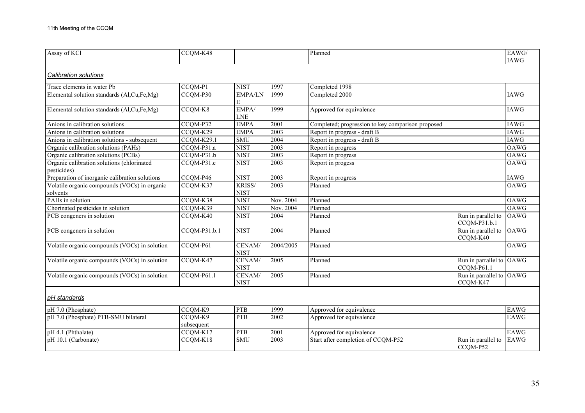| Assay of KCl                                              | CCQM-K48                |                       |           | Planned                                           |                                        | $\overline{EAWG}$<br><b>IAWG</b> |
|-----------------------------------------------------------|-------------------------|-----------------------|-----------|---------------------------------------------------|----------------------------------------|----------------------------------|
| <b>Calibration solutions</b>                              |                         |                       |           |                                                   |                                        |                                  |
| Trace elements in water Pb                                | CCQM-P1                 | <b>NIST</b>           | 1997      | Completed 1998                                    |                                        |                                  |
| Elemental solution standards (Al,Cu,Fe,Mg)                | $CCOM-P30$              | <b>EMPA/LN</b><br>E   | 1999      | Completed 2000                                    |                                        | <b>IAWG</b>                      |
| Elemental solution standards (Al,Cu,Fe,Mg)                | CCQM-K8                 | EMPA/<br>${\rm LNE}$  | 1999      | Approved for equivalence                          |                                        | IAWG                             |
| Anions in calibration solutions                           | CCQM-P32                | <b>EMPA</b>           | 2001      | Completed; progression to key comparison proposed |                                        | IAWG                             |
| Anions in calibration solutions                           | CCQM-K29                | <b>EMPA</b>           | 2003      | Report in progress - draft B                      |                                        | <b>IAWG</b>                      |
| Anions in calibration solutions - subsequent              | CCQM-K29.1              | <b>SMU</b>            | 2004      | Report in progress - draft B                      |                                        | <b>IAWG</b>                      |
| Organic calibration solutions (PAHs)                      | $\overline{CCQM-P31.a}$ | <b>NIST</b>           | 2003      | Report in progress                                |                                        | <b>OAWG</b>                      |
| Organic calibration solutions (PCBs)                      | CCQM-P31.b              | <b>NIST</b>           | 2003      | Report in progress                                |                                        | <b>OAWG</b>                      |
| Organic calibration solutions (chlorinated<br>pesticides) | CCQM-P31.c              | <b>NIST</b>           | 2003      | Report in progess                                 |                                        | <b>OAWG</b>                      |
| Preparation of inorganic calibration solutions            | CCQM-P46                | <b>NIST</b>           | 2003      | Report in progress                                |                                        | <b>IAWG</b>                      |
| Volatile organic compounds (VOCs) in organic<br>solvents  | CCQM-K37                | KRISS/<br><b>NIST</b> | 2003      | Planned                                           |                                        | <b>OAWG</b>                      |
| PAHs in solution                                          | CCQM-K38                | <b>NIST</b>           | Nov. 2004 | Planned                                           |                                        | OAWG                             |
| Chorinated pesticides in solution                         | CCQM-K39                | <b>NIST</b>           | Nov. 2004 | Planned                                           |                                        | OAWG                             |
| PCB congeners in solution                                 | CCQM-K40                | <b>NIST</b>           | 2004      | Planned                                           | Run in parallel to<br>CCQM-P31.b.1     | OAWG                             |
| PCB congeners in solution                                 | CCQM-P31.b.1            | <b>NIST</b>           | 2004      | Planned                                           | Run in parallel to<br>CCQM-K40         | OAWG                             |
| Volatile organic compounds (VOCs) in solution             | CCQM-P61                | CENAM/<br><b>NIST</b> | 2004/2005 | Planned                                           |                                        | <b>OAWG</b>                      |
| Volatile organic compounds (VOCs) in solution             | CCQM-K47                | CENAM/<br><b>NIST</b> | 2005      | Planned                                           | Run in parrallel to OAWG<br>CCOM-P61.1 |                                  |
| Volatile organic compounds (VOCs) in solution             | CCQM-P61.1              | CENAM/<br><b>NIST</b> | 2005      | Planned                                           | Run in parrallel to OAWG<br>CCQM-K47   |                                  |
| pH standards                                              |                         |                       |           |                                                   |                                        |                                  |
| pH 7.0 (Phosphate)                                        | CCQM-K9                 | <b>PTB</b>            | 1999      | Approved for equivalence                          |                                        | <b>EAWG</b>                      |
| pH 7.0 (Phosphate) PTB-SMU bilateral                      | CCQM-K9<br>subsequent   | PTB                   | 2002      | Approved for equivalence                          |                                        | <b>EAWG</b>                      |
| pH 4.1 (Phthalate)                                        | CCQM-K17                | <b>PTB</b>            | 2001      | Approved for equivalence                          |                                        | EAWG                             |
| pH 10.1 (Carbonate)                                       | CCQM-K18                | <b>SMU</b>            | 2003      | Start after completion of CCQM-P52                | Run in parallel to<br>CCQM-P52         | EAWG                             |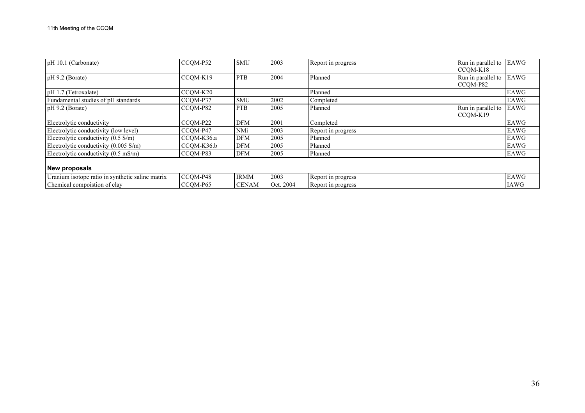| pH 10.1 (Carbonate)                              | CCOM-P52   | <b>SMU</b>   | 2003      | Report in progress | Run in parallel to | EAWG        |
|--------------------------------------------------|------------|--------------|-----------|--------------------|--------------------|-------------|
|                                                  |            |              |           |                    | CCOM-K18           |             |
| $pH$ 9.2 (Borate)                                | CCOM-K19   | <b>PTB</b>   | 2004      | Planned            | Run in parallel to | EAWG        |
|                                                  |            |              |           |                    | CCOM-P82           |             |
| pH 1.7 (Tetroxalate)                             | CCOM-K20   |              |           | Planned            |                    | EAWG        |
| Fundamental studies of pH standards              | CCOM-P37   | <b>SMU</b>   | 2002      | Completed          |                    | EAWG        |
| $pH$ 9.2 (Borate)                                | CCOM-P82   | <b>PTB</b>   | 2005      | Planned            | Run in parallel to | EAWG        |
|                                                  |            |              |           |                    | CCOM-K19           |             |
| Electrolytic conductivity                        | CCOM-P22   | <b>DFM</b>   | 2001      | Completed          |                    | EAWG        |
| Electrolytic conductivity (low level)            | CCOM-P47   | NMi          | 2003      | Report in progress |                    | EAWG        |
| Electrolytic conductivity $(0.5 \text{ S/m})$    | CCOM-K36.a | <b>DFM</b>   | 2005      | Planned            |                    | EAWG        |
| Electrolytic conductivity $(0.005 \text{ S/m})$  | CCQM-K36.b | <b>DFM</b>   | 2005      | Planned            |                    | EAWG        |
| Electrolytic conductivity $(0.5 \text{ mS/m})$   | CCOM-P83   | <b>DFM</b>   | 2005      | Planned            |                    | EAWG        |
|                                                  |            |              |           |                    |                    |             |
| <b>New proposals</b>                             |            |              |           |                    |                    |             |
| Uranium isotope ratio in synthetic saline matrix | CCOM-P48   | <b>IRMM</b>  | 2003      | Report in progress |                    | EAWG        |
| Chemical compoistion of clay                     | CCOM-P65   | <b>CENAM</b> | Oct. 2004 | Report in progress |                    | <b>IAWG</b> |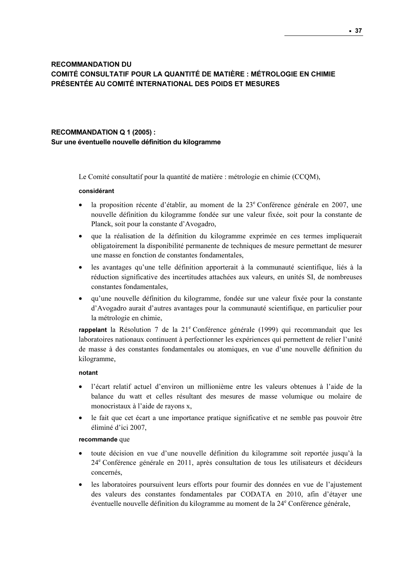# RECOMMANDATION DU COMITÉ CONSULTATIF POUR LA QUANTITÉ DE MATIÈRE : MÉTROLOGIE EN CHIMIE PRÉSENTÉE AU COMITÉ INTERNATIONAL DES POIDS ET MESURES

# RECOMMANDATION Q 1 (2005) : Sur une éventuelle nouvelle définition du kilogramme

Le Comité consultatif pour la quantité de matière : métrologie en chimie (CCQM),

#### considérant

- · la proposition récente d'établir, au moment de la 23<sup>e</sup> Conférence générale en 2007, une nouvelle définition du kilogramme fondée sur une valeur fixée, soit pour la constante de Planck, soit pour la constante d'Avogadro,
- que la réalisation de la définition du kilogramme exprimée en ces termes impliquerait obligatoirement la disponibilité permanente de techniques de mesure permettant de mesurer une masse en fonction de constantes fondamentales,
- les avantages qu'une telle définition apporterait à la communauté scientifique, liés à la réduction significative des incertitudes attachées aux valeurs, en unités SI, de nombreuses constantes fondamentales,
- qu'une nouvelle définition du kilogramme, fondée sur une valeur fixée pour la constante d'Avogadro aurait d'autres avantages pour la communauté scientifique, en particulier pour la métrologie en chimie,

rappelant la Résolution 7 de la 21<sup>e</sup> Conférence générale (1999) qui recommandait que les laboratoires nationaux continuent à perfectionner les expériences qui permettent de relier l'unité de masse à des constantes fondamentales ou atomiques, en vue d'une nouvelle définition du kilogramme,

#### notant

- l'écart relatif actuel d'environ un millionième entre les valeurs obtenues à l'aide de la balance du watt et celles résultant des mesures de masse volumique ou molaire de monocristaux à l'aide de rayons x,
- le fait que cet écart a une importance pratique significative et ne semble pas pouvoir être éliminé d'ici 2007,

#### recommande que

- toute décision en vue d'une nouvelle définition du kilogramme soit reportée jusqu'à la 24<sup>e</sup> Conférence générale en 2011, après consultation de tous les utilisateurs et décideurs concernés,
- les laboratoires poursuivent leurs efforts pour fournir des données en vue de l'ajustement des valeurs des constantes fondamentales par CODATA en 2010, afin d'étayer une éventuelle nouvelle définition du kilogramme au moment de la 24<sup>e</sup> Conférence générale,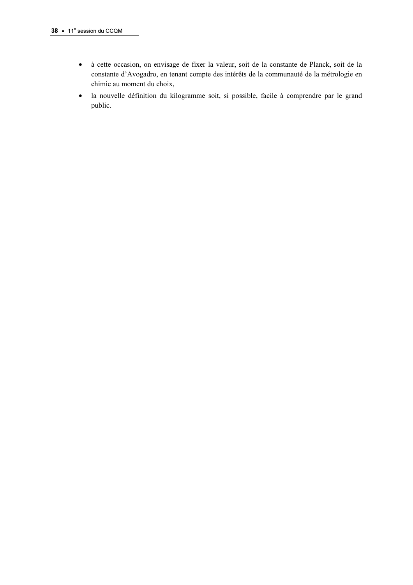- à cette occasion, on envisage de fixer la valeur, soit de la constante de Planck, soit de la constante d'Avogadro, en tenant compte des intérêts de la communauté de la métrologie en chimie au moment du choix,
- la nouvelle définition du kilogramme soit, si possible, facile à comprendre par le grand public.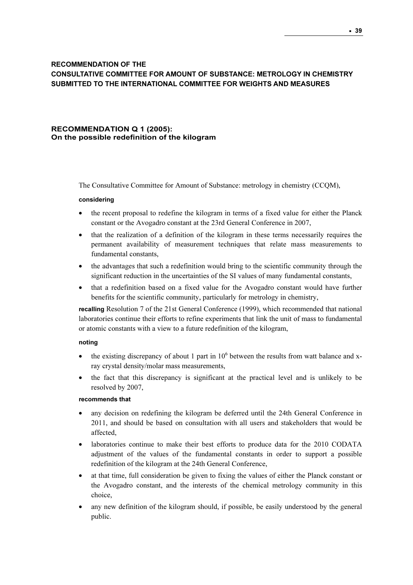# RECOMMENDATION OF THE CONSULTATIVE COMMITTEE FOR AMOUNT OF SUBSTANCE: METROLOGY IN CHEMISTRY SUBMITTED TO THE INTERNATIONAL COMMITTEE FOR WEIGHTS AND MEASURES

## RECOMMENDATION Q 1 (2005): On the possible redefinition of the kilogram

The Consultative Committee for Amount of Substance: metrology in chemistry (CCQM),

#### considering

- the recent proposal to redefine the kilogram in terms of a fixed value for either the Planck constant or the Avogadro constant at the 23rd General Conference in 2007,
- that the realization of a definition of the kilogram in these terms necessarily requires the permanent availability of measurement techniques that relate mass measurements to fundamental constants,
- the advantages that such a redefinition would bring to the scientific community through the significant reduction in the uncertainties of the SI values of many fundamental constants,
- that a redefinition based on a fixed value for the Avogadro constant would have further benefits for the scientific community, particularly for metrology in chemistry,

recalling Resolution 7 of the 21st General Conference (1999), which recommended that national laboratories continue their efforts to refine experiments that link the unit of mass to fundamental or atomic constants with a view to a future redefinition of the kilogram,

#### noting

- the existing discrepancy of about 1 part in 10<sup>6</sup> between the results from watt balance and xray crystal density/molar mass measurements,
- the fact that this discrepancy is significant at the practical level and is unlikely to be resolved by 2007,

#### recommends that

- any decision on redefining the kilogram be deferred until the 24th General Conference in 2011, and should be based on consultation with all users and stakeholders that would be affected,
- laboratories continue to make their best efforts to produce data for the 2010 CODATA adjustment of the values of the fundamental constants in order to support a possible redefinition of the kilogram at the 24th General Conference,
- at that time, full consideration be given to fixing the values of either the Planck constant or the Avogadro constant, and the interests of the chemical metrology community in this choice,
- any new definition of the kilogram should, if possible, be easily understood by the general public.